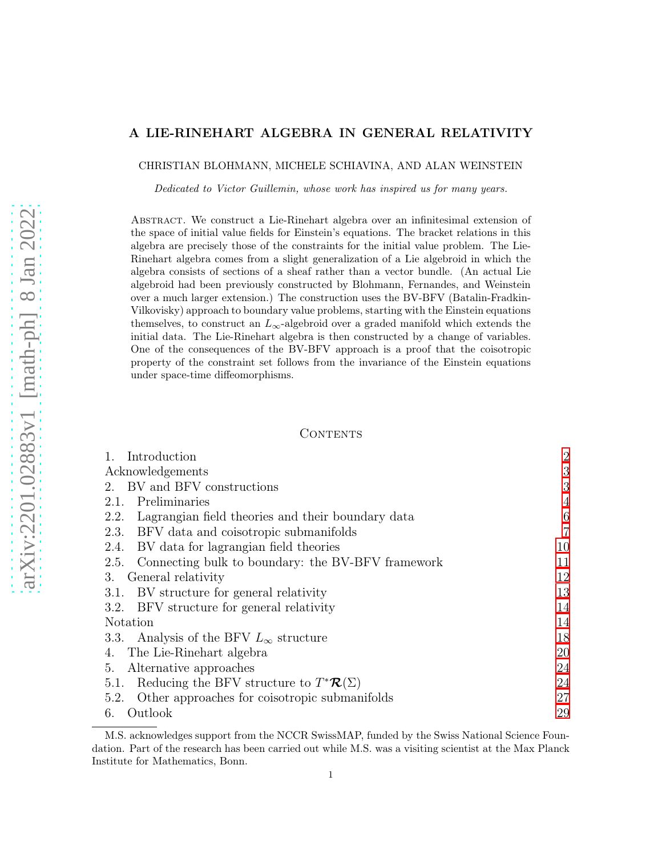# A LIE-RINEHART ALGEBRA IN GENERAL RELATIVITY

CHRISTIAN BLOHMANN, MICHELE SCHIAVINA, AND ALAN WEINSTEIN

Dedicated to Victor Guillemin, whose work has inspired us for many years.

Abstract. We construct a Lie-Rinehart algebra over an infinitesimal extension of the space of initial value fields for Einstein's equations. The bracket relations in this algebra are precisely those of the constraints for the initial value problem. The Lie-Rinehart algebra comes from a slight generalization of a Lie algebroid in which the algebra consists of sections of a sheaf rather than a vector bundle. (An actual Lie algebroid had been previously constructed by Blohmann, Fernandes, and Weinstein over a much larger extension.) The construction uses the BV-BFV (Batalin-Fradkin-Vilkovisky) approach to boundary value problems, starting with the Einstein equations themselves, to construct an  $L_{\infty}$ -algebroid over a graded manifold which extends the initial data. The Lie-Rinehart algebra is then constructed by a change of variables. One of the consequences of the BV-BFV approach is a proof that the coisotropic property of the constraint set follows from the invariance of the Einstein equations under space-time diffeomorphisms.

# CONTENTS

| 1. Introduction                                              | $\overline{2}$  |
|--------------------------------------------------------------|-----------------|
| Acknowledgements                                             | 3               |
| 2. BV and BFV constructions                                  | 3               |
| Preliminaries<br>2.1.                                        | $\overline{4}$  |
| Lagrangian field theories and their boundary data<br>2.2.    | $6\phantom{.}6$ |
| 2.3. BFV data and coisotropic submanifolds                   | $\overline{7}$  |
| 2.4. BV data for lagrangian field theories                   | 10              |
| Connecting bulk to boundary: the BV-BFV framework<br>2.5.    | 11              |
| General relativity<br>3.                                     | 12              |
| 3.1. BV structure for general relativity                     | 13              |
| 3.2. BFV structure for general relativity                    | 14              |
| Notation                                                     | 14              |
| 3.3. Analysis of the BFV $L_{\infty}$ structure              | 18              |
| 4. The Lie-Rinehart algebra                                  | 20              |
| Alternative approaches<br>5.                                 | 24              |
| 5.1. Reducing the BFV structure to $T^* \mathcal{R}(\Sigma)$ | 24              |
| Other approaches for coisotropic submanifolds<br>5.2.        | 27              |
| Outlook<br>6.                                                | 29              |

M.S. acknowledges support from the NCCR SwissMAP, funded by the Swiss National Science Foundation. Part of the research has been carried out while M.S. was a visiting scientist at the Max Planck Institute for Mathematics, Bonn.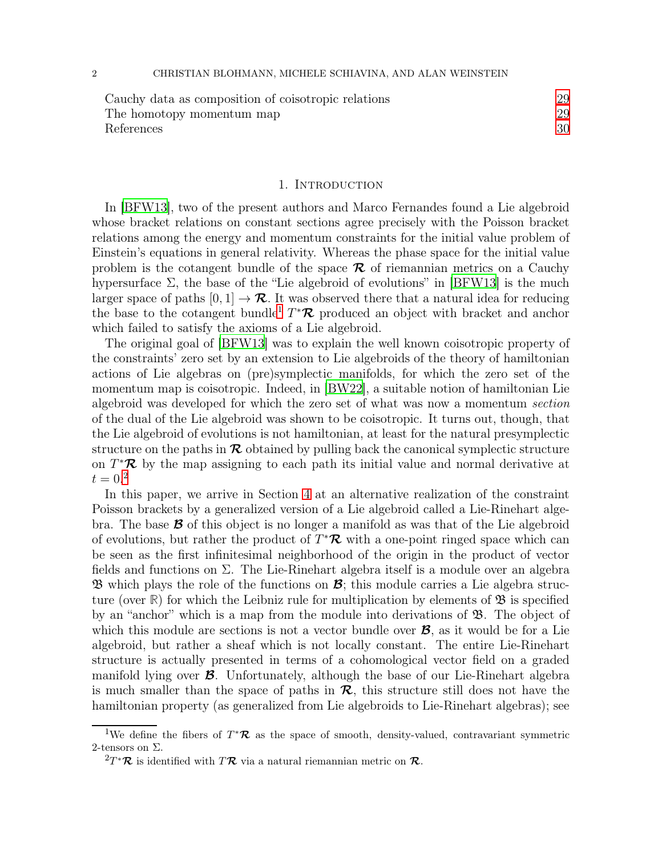| Cauchy data as composition of coisotropic relations | 29 |
|-----------------------------------------------------|----|
| The homotopy momentum map                           | 29 |
| References                                          |    |

### 1. INTRODUCTION

<span id="page-1-0"></span>In [\[BFW13\]](#page-30-0), two of the present authors and Marco Fernandes found a Lie algebroid whose bracket relations on constant sections agree precisely with the Poisson bracket relations among the energy and momentum constraints for the initial value problem of Einstein's equations in general relativity. Whereas the phase space for the initial value problem is the cotangent bundle of the space  $\mathcal R$  of riemannian metrics on a Cauchy hypersurface  $\Sigma$ , the base of the "Lie algebroid of evolutions" in [\[BFW13\]](#page-30-0) is the much larger space of paths  $[0, 1] \rightarrow \mathcal{R}$ . It was observed there that a natural idea for reducing the base to the cotangent bundle<sup>[1](#page-1-1)</sup>  $T^*\mathcal{R}$  produced an object with bracket and anchor which failed to satisfy the axioms of a Lie algebroid.

The original goal of [\[BFW13\]](#page-30-0) was to explain the well known coisotropic property of the constraints' zero set by an extension to Lie algebroids of the theory of hamiltonian actions of Lie algebras on (pre)symplectic manifolds, for which the zero set of the momentum map is coisotropic. Indeed, in [\[BW22](#page-30-1)], a suitable notion of hamiltonian Lie algebroid was developed for which the zero set of what was now a momentum section of the dual of the Lie algebroid was shown to be coisotropic. It turns out, though, that the Lie algebroid of evolutions is not hamiltonian, at least for the natural presymplectic structure on the paths in  $\mathcal R$  obtained by pulling back the canonical symplectic structure on  $T^*\mathcal{R}$  by the map assigning to each path its initial value and normal derivative at  $t = 0.2$  $t = 0.2$ 

In this paper, we arrive in Section [4](#page-19-0) at an alternative realization of the constraint Poisson brackets by a generalized version of a Lie algebroid called a Lie-Rinehart algebra. The base  $\mathcal{B}$  of this object is no longer a manifold as was that of the Lie algebroid of evolutions, but rather the product of  $T^*\mathcal{R}$  with a one-point ringed space which can be seen as the first infinitesimal neighborhood of the origin in the product of vector fields and functions on Σ. The Lie-Rinehart algebra itself is a module over an algebra **B** which plays the role of the functions on  $\mathcal{B}$ ; this module carries a Lie algebra structure (over  $\mathbb{R}$ ) for which the Leibniz rule for multiplication by elements of  $\mathfrak{B}$  is specified by an "anchor" which is a map from the module into derivations of  $\mathfrak{B}$ . The object of which this module are sections is not a vector bundle over  $\mathcal{B}$ , as it would be for a Lie algebroid, but rather a sheaf which is not locally constant. The entire Lie-Rinehart structure is actually presented in terms of a cohomological vector field on a graded manifold lying over B. Unfortunately, although the base of our Lie-Rinehart algebra is much smaller than the space of paths in  $\mathcal{R}$ , this structure still does not have the hamiltonian property (as generalized from Lie algebroids to Lie-Rinehart algebras); see

<sup>&</sup>lt;sup>1</sup>We define the fibers of  $T^*\mathcal{R}$  as the space of smooth, density-valued, contravariant symmetric 2-tensors on Σ.

<span id="page-1-2"></span><span id="page-1-1"></span> ${}^{2}T^{\ast}\mathcal{R}$  is identified with  $T\mathcal{R}$  via a natural riemannian metric on  $\mathcal{R}$ .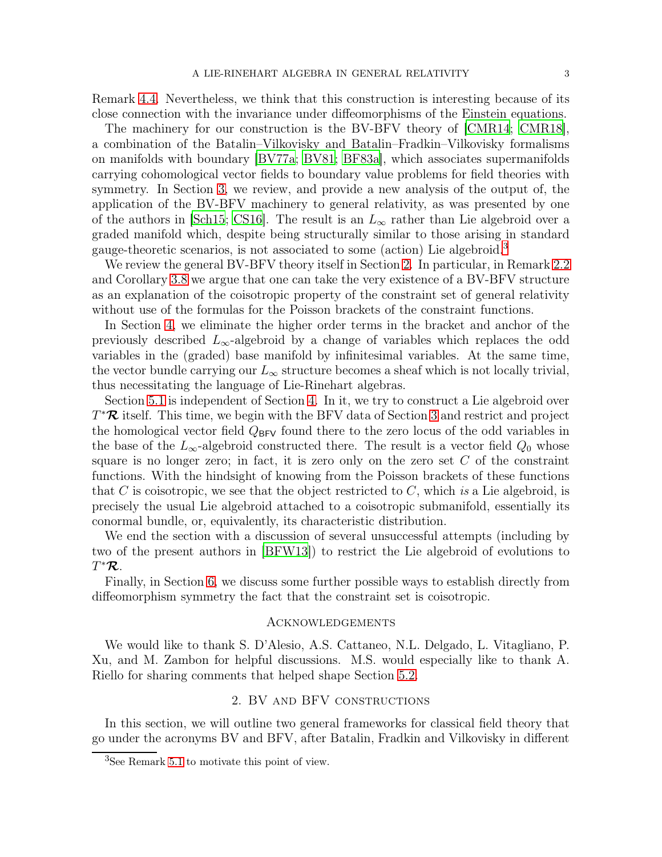Remark [4.4.](#page-23-2) Nevertheless, we think that this construction is interesting because of its close connection with the invariance under diffeomorphisms of the Einstein equations.

The machinery for our construction is the BV-BFV theory of [\[CMR14;](#page-30-2) [CMR18](#page-31-0)], a combination of the Batalin–Vilkovisky and Batalin–Fradkin–Vilkovisky formalisms on manifolds with boundary [\[BV77a](#page-30-3); [BV81;](#page-30-4) [BF83a\]](#page-29-1), which associates supermanifolds carrying cohomological vector fields to boundary value problems for field theories with symmetry. In Section [3,](#page-11-0) we review, and provide a new analysis of the output of, the application of the BV-BFV machinery to general relativity, as was presented by one of the authors in [\[Sch15](#page-32-0); [CS16\]](#page-31-1). The result is an  $L_{\infty}$  rather than Lie algebroid over a graded manifold which, despite being structurally similar to those arising in standard gauge-theoretic scenarios, is not associated to some (action) Lie algebroid.[3](#page-2-2)

We review the general BV-BFV theory itself in Section [2.](#page-2-1) In particular, in Remark [2.2](#page-7-0) and Corollary [3.8](#page-17-1) we argue that one can take the very existence of a BV-BFV structure as an explanation of the coisotropic property of the constraint set of general relativity without use of the formulas for the Poisson brackets of the constraint functions.

In Section [4,](#page-19-0) we eliminate the higher order terms in the bracket and anchor of the previously described  $L_{\infty}$ -algebroid by a change of variables which replaces the odd variables in the (graded) base manifold by infinitesimal variables. At the same time, the vector bundle carrying our  $L_{\infty}$  structure becomes a sheaf which is not locally trivial, thus necessitating the language of Lie-Rinehart algebras.

Section [5.1](#page-23-1) is independent of Section [4.](#page-19-0) In it, we try to construct a Lie algebroid over  $T^{\ast}\mathcal{R}$  itself. This time, we begin with the BFV data of Section [3](#page-11-0) and restrict and project the homological vector field  $Q_{BFV}$  found there to the zero locus of the odd variables in the base of the  $L_{\infty}$ -algebroid constructed there. The result is a vector field  $Q_0$  whose square is no longer zero; in fact, it is zero only on the zero set  $C$  of the constraint functions. With the hindsight of knowing from the Poisson brackets of these functions that C is coisotropic, we see that the object restricted to  $C$ , which is a Lie algebroid, is precisely the usual Lie algebroid attached to a coisotropic submanifold, essentially its conormal bundle, or, equivalently, its characteristic distribution.

We end the section with a discussion of several unsuccessful attempts (including by two of the present authors in [\[BFW13\]](#page-30-0)) to restrict the Lie algebroid of evolutions to  $T^{\ast}\mathcal{R}.$ 

Finally, in Section [6,](#page-28-0) we discuss some further possible ways to establish directly from diffeomorphism symmetry the fact that the constraint set is coisotropic.

#### <span id="page-2-0"></span>Acknowledgements

We would like to thank S. D'Alesio, A.S. Cattaneo, N.L. Delgado, L. Vitagliano, P. Xu, and M. Zambon for helpful discussions. M.S. would especially like to thank A. Riello for sharing comments that helped shape Section [5.2.](#page-26-0)

## 2. BV and BFV constructions

<span id="page-2-1"></span>In this section, we will outline two general frameworks for classical field theory that go under the acronyms BV and BFV, after Batalin, Fradkin and Vilkovisky in different

<span id="page-2-2"></span><sup>3</sup>See Remark [5.1](#page-23-3) to motivate this point of view.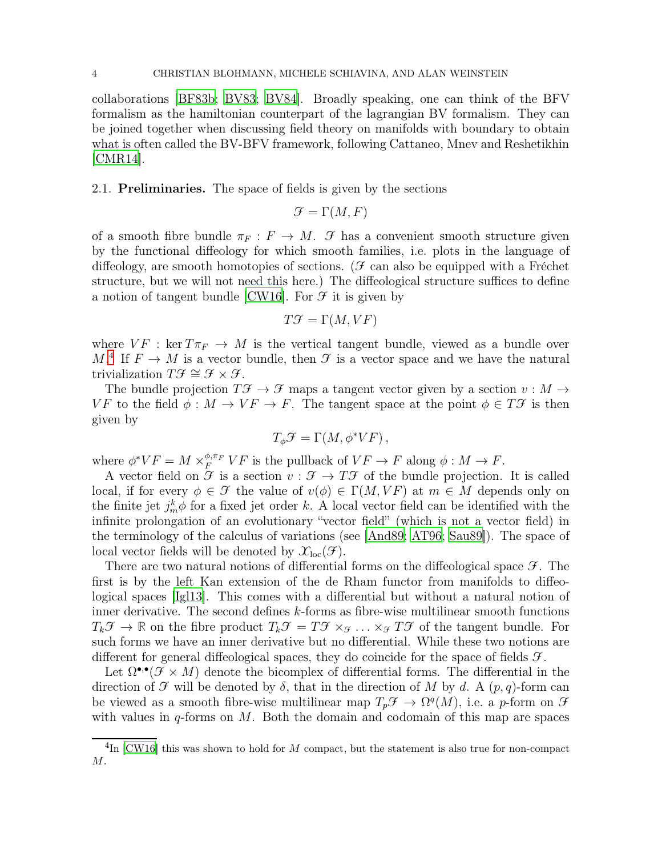collaborations [\[BF83b;](#page-30-5) [BV83;](#page-30-6) [BV84\]](#page-30-7). Broadly speaking, one can think of the BFV formalism as the hamiltonian counterpart of the lagrangian BV formalism. They can be joined together when discussing field theory on manifolds with boundary to obtain what is often called the BV-BFV framework, following Cattaneo, Mnev and Reshetikhin [\[CMR14\]](#page-30-2).

<span id="page-3-0"></span>2.1. Preliminaries. The space of fields is given by the sections

$$
\mathcal{F} = \Gamma(M, F)
$$

of a smooth fibre bundle  $\pi_F : F \to M$ .  $\mathcal F$  has a convenient smooth structure given by the functional diffeology for which smooth families, i.e. plots in the language of diffeology, are smooth homotopies of sections. ( $\mathcal F$  can also be equipped with a Fréchet structure, but we will not need this here.) The diffeological structure suffices to define a notion of tangent bundle [\[CW16\]](#page-31-2). For  $\mathcal F$  it is given by

$$
T\mathcal{F} = \Gamma(M, VF)
$$

where  $VF : \text{ker } T\pi_F \to M$  is the vertical tangent bundle, viewed as a bundle over  $M^4$  $M^4$  If  $F \to M$  is a vector bundle, then  $\mathcal F$  is a vector space and we have the natural trivialization  $T\mathcal{F} \cong \mathcal{F} \times \mathcal{F}$ .

The bundle projection  $T\mathcal{F} \to \mathcal{F}$  maps a tangent vector given by a section  $v : M \to$ VF to the field  $\phi : M \to V \to F$ . The tangent space at the point  $\phi \in T \mathcal{F}$  is then given by

$$
T_{\phi}\mathcal{F} = \Gamma(M, \phi^*VF),
$$

where  $\phi^*VF = M \times_{F}^{\phi,\pi_F} VF$  is the pullback of  $VF \to F$  along  $\phi: M \to F$ .

A vector field on  $\mathcal F$  is a section  $v : \mathcal F \to T\mathcal F$  of the bundle projection. It is called local, if for every  $\phi \in \mathcal{F}$  the value of  $v(\phi) \in \Gamma(M, VF)$  at  $m \in M$  depends only on the finite jet  $j_m^k \phi$  for a fixed jet order k. A local vector field can be identified with the infinite prolongation of an evolutionary "vector field" (which is not a vector field) in the terminology of the calculus of variations (see [\[And89;](#page-29-2) [AT96;](#page-29-3) [Sau89](#page-32-1)]). The space of local vector fields will be denoted by  $\mathcal{X}_{loc}(\mathcal{F})$ .

There are two natural notions of differential forms on the diffeological space  $\mathcal{F}$ . The first is by the left Kan extension of the de Rham functor from manifolds to diffeological spaces [\[Igl13](#page-31-3)]. This comes with a differential but without a natural notion of inner derivative. The second defines  $k$ -forms as fibre-wise multilinear smooth functions  $T_k\mathcal{F} \to \mathbb{R}$  on the fibre product  $T_k\mathcal{F} = T\mathcal{F} \times_{\mathcal{F}} \ldots \times_{\mathcal{F}} T\mathcal{F}$  of the tangent bundle. For such forms we have an inner derivative but no differential. While these two notions are different for general diffeological spaces, they do coincide for the space of fields  $\mathcal{F}$ .

Let  $\Omega^{\bullet,\bullet}(\mathcal{F}\times M)$  denote the bicomplex of differential forms. The differential in the direction of  $\mathcal F$  will be denoted by  $\delta$ , that in the direction of M by d. A  $(p, q)$ -form can be viewed as a smooth fibre-wise multilinear map  $T_p \mathcal{F} \to \Omega^q(M)$ , i.e. a p-form on  $\mathcal{F}$ with values in  $q$ -forms on M. Both the domain and codomain of this map are spaces

<span id="page-3-1"></span> ${}^{4}\text{In}$  [\[CW16\]](#page-31-2) this was shown to hold for M compact, but the statement is also true for non-compact M.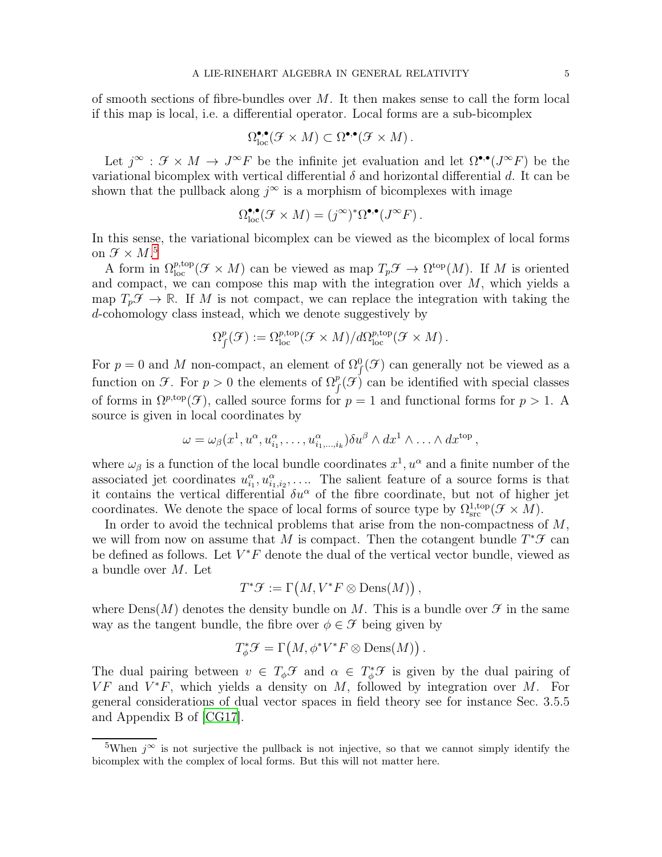of smooth sections of fibre-bundles over  $M$ . It then makes sense to call the form local if this map is local, i.e. a differential operator. Local forms are a sub-bicomplex

$$
\Omega_{\text{loc}}^{\bullet,\bullet}(\mathcal{F}\times M)\subset\Omega^{\bullet,\bullet}(\mathcal{F}\times M)\,.
$$

Let  $j^{\infty}$ :  $\mathcal{F} \times M \to J^{\infty}F$  be the infinite jet evaluation and let  $\Omega^{\bullet,\bullet}(J^{\infty}F)$  be the variational bicomplex with vertical differential  $\delta$  and horizontal differential d. It can be shown that the pullback along  $j^{\infty}$  is a morphism of bicomplexes with image

$$
\Omega_{\text{loc}}^{\bullet,\bullet}(\mathcal{F}\times M)=(j^{\infty})^*\Omega^{\bullet,\bullet}(J^{\infty}F)\,.
$$

In this sense, the variational bicomplex can be viewed as the bicomplex of local forms on  $\mathcal{F} \times M$ .<sup>[5](#page-4-0)</sup>

A form in  $\Omega_{\text{loc}}^{p,\text{top}}(\mathcal{F}\times M)$  can be viewed as map  $T_p\mathcal{F}\to \Omega^{\text{top}}(M)$ . If M is oriented and compact, we can compose this map with the integration over  $M$ , which yields a map  $T_p \mathcal{F} \to \mathbb{R}$ . If M is not compact, we can replace the integration with taking the d-cohomology class instead, which we denote suggestively by

$$
\Omega^p_f(\mathcal{F}) := \Omega^{p,\text{top}}_{\text{loc}}(\mathcal{F} \times M) / d\Omega^{p,\text{top}}_{\text{loc}}(\mathcal{F} \times M) .
$$

For  $p = 0$  and M non-compact, an element of  $\Omega^0$  ( $\mathcal{F}$ ) can generally not be viewed as a function on  $\mathcal{F}$ . For  $p > 0$  the elements of  $\Omega_f^p(\mathcal{F})$  can be identified with special classes of forms in  $\Omega^{p,\text{top}}(\mathcal{F})$ , called source forms for  $p=1$  and functional forms for  $p>1$ . A source is given in local coordinates by

$$
\omega = \omega_{\beta}(x^1, u^{\alpha}, u^{\alpha}_{i_1}, \dots, u^{\alpha}_{i_1, \dots, i_k}) \delta u^{\beta} \wedge dx^1 \wedge \dots \wedge dx^{\text{top}},
$$

where  $\omega_{\beta}$  is a function of the local bundle coordinates  $x^1, u^{\alpha}$  and a finite number of the associated jet coordinates  $u_{i_1}^{\alpha}, u_{i_1, i_2}^{\alpha}, \ldots$  The salient feature of a source forms is that it contains the vertical differential  $\delta u^{\alpha}$  of the fibre coordinate, but not of higher jet coordinates. We denote the space of local forms of source type by  $\Omega_{\rm src}^{1,\rm top}(\mathcal{F} \times M)$ .

In order to avoid the technical problems that arise from the non-compactness of  $M$ , we will from now on assume that M is compact. Then the cotangent bundle  $T^*\mathcal{F}$  can be defined as follows. Let  $V^*F$  denote the dual of the vertical vector bundle, viewed as a bundle over M. Let

$$
T^*\mathcal{F}:=\Gamma\big(M,V^*F\otimes{\rm Dens}(M)\big)\,,
$$

where  $\text{Dens}(M)$  denotes the density bundle on M. This is a bundle over  $\mathcal F$  in the same way as the tangent bundle, the fibre over  $\phi \in \mathcal{F}$  being given by

$$
T_{\phi}^* \mathcal{F} = \Gamma\big(M, \phi^* V^* F \otimes \text{Dens}(M)\big) \,.
$$

The dual pairing between  $v \in T_{\phi} \mathcal{F}$  and  $\alpha \in T_{\phi}^* \mathcal{F}$  is given by the dual pairing of  $VF$  and  $V^*F$ , which yields a density on M, followed by integration over M. For general considerations of dual vector spaces in field theory see for instance Sec. 3.5.5 and Appendix B of [\[CG17\]](#page-31-4).

<span id="page-4-0"></span><sup>&</sup>lt;sup>5</sup>When  $j^{\infty}$  is not surjective the pullback is not injective, so that we cannot simply identify the bicomplex with the complex of local forms. But this will not matter here.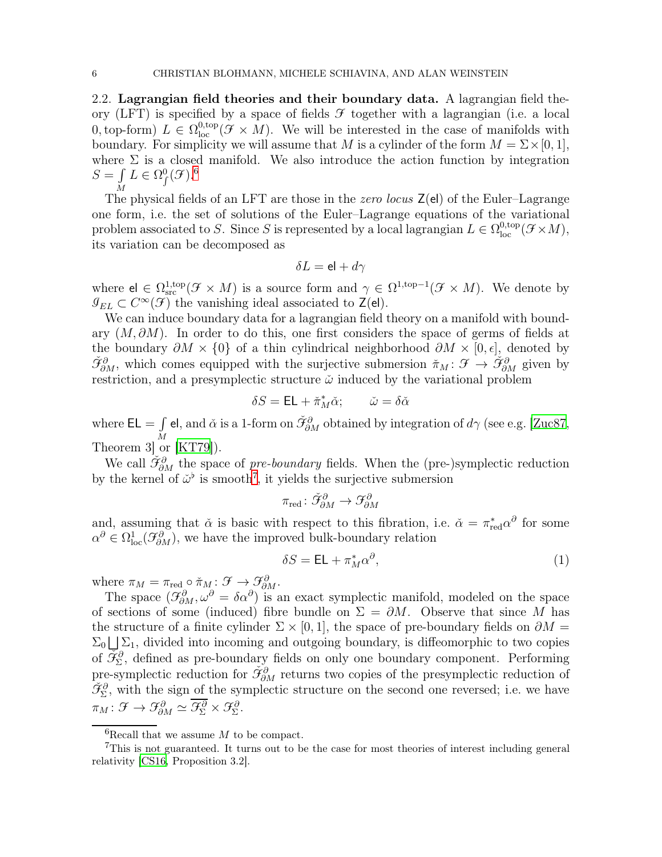<span id="page-5-0"></span>2.2. Lagrangian field theories and their boundary data. A lagrangian field theory (LFT) is specified by a space of fields  $\mathcal F$  together with a lagrangian (i.e. a local 0, top-form)  $L \in \Omega_{\text{loc}}^{0,\text{top}}(\mathcal{F} \times M)$ . We will be interested in the case of manifolds with boundary. For simplicity we will assume that M is a cylinder of the form  $M = \Sigma \times [0, 1]$ , where  $\Sigma$  is a closed manifold. We also introduce the action function by integration  $S = \int L \in \Omega^0_f(\mathcal{F})^{6}$  $S = \int L \in \Omega^0_f(\mathcal{F})^{6}$  $S = \int L \in \Omega^0_f(\mathcal{F})^{6}$ 

 $\overline{M}$  The physical fields of an LFT are those in the *zero locus*  $\overline{Z}(el)$  of the Euler–Lagrange one form, i.e. the set of solutions of the Euler–Lagrange equations of the variational problem associated to S. Since S is represented by a local lagrangian  $L \in \Omega_{loc}^{0, top}(\mathcal{F} \times M)$ , its variation can be decomposed as

$$
\delta L = \mathrm{el} + d\gamma
$$

where  $\mathbf{e} \in \Omega_{\text{src}}^{1,\text{top}}(\mathcal{F} \times M)$  is a source form and  $\gamma \in \Omega^{1,\text{top}-1}(\mathcal{F} \times M)$ . We denote by  $\mathcal{I}_{EL} \subset C^{\infty}(\mathcal{F})$  the vanishing ideal associated to  $\mathsf{Z}(\mathsf{el})$ .

We can induce boundary data for a lagrangian field theory on a manifold with boundary  $(M, \partial M)$ . In order to do this, one first considers the space of germs of fields at the boundary  $\partial M \times \{0\}$  of a thin cylindrical neighborhood  $\partial M \times [0, \epsilon]$ , denoted by  $\check{\mathcal{F}}^{\partial}_{\partial M}$ , which comes equipped with the surjective submersion  $\check{\pi}_M : \mathcal{F} \to \check{\mathcal{F}}^{\partial}_{\partial M}$  given by restriction, and a presymplectic structure  $\check{\omega}$  induced by the variational problem

$$
\delta S = \mathsf{EL} + \check{\pi}_M^* \check{\alpha}; \qquad \check{\omega} = \delta \check{\alpha}
$$

where  $EL = \int$ M el, and  $\check\alpha$  is a 1-form on  $\check{\mathcal{F}}_{\partial M}^{\partial}$  obtained by integration of  $d\gamma$  (see e.g. [\[Zuc87,](#page-33-0) Theorem 3] or [\[KT79](#page-31-5)]).

We call  $\check{\mathfrak{I}}^{\partial}_{\partial M}$  the space of pre-boundary fields. When the (pre-)symplectic reduction by the kernel of  $\ddot{\omega}^{\flat}$  is smooth<sup>[7](#page-5-2)</sup>, it yields the surjective submersion

$$
\pi_{\text{red}} \colon \check{\mathcal{F}}^{\partial}_{\partial M} \to \mathcal{F}^{\partial}_{\partial M}
$$

and, assuming that  $\check{\alpha}$  is basic with respect to this fibration, i.e.  $\check{\alpha} = \pi_{red}^* \alpha^{\partial}$  for some  $\alpha^{\partial} \in \Omega^1_{loc}(\mathcal{F}_{\partial M}^{\partial})$ , we have the improved bulk-boundary relation

<span id="page-5-3"></span>
$$
\delta S = \mathsf{EL} + \pi_M^* \alpha^\partial,\tag{1}
$$

where  $\pi_M = \pi_{\text{red}} \circ \pi_M : \mathcal{F} \to \mathcal{F}_{\partial M}^{\partial}$ .

The space  $(\mathcal{F}_{\partial M}^{\partial}, \omega^{\partial} = \delta \alpha^{\partial})$  is an exact symplectic manifold, modeled on the space of sections of some (induced) fibre bundle on  $\Sigma = \partial M$ . Observe that since M has the structure of a finite cylinder  $\Sigma \times [0,1]$ , the space of pre-boundary fields on  $\partial M =$  $\Sigma_0 \bigsqcup \Sigma_1$ , divided into incoming and outgoing boundary, is diffeomorphic to two copies of  $\overline{\tilde{\mathcal{F}}}_{\Sigma}^{\partial}$ , defined as pre-boundary fields on only one boundary component. Performing pre-symplectic reduction for  $\check{\mathcal{F}}^{\partial}_{\partial M}$  returns two copies of the presymplectic reduction of  $\check{\mathcal{F}}_{\Sigma}^{\partial}$ , with the sign of the symplectic structure on the second one reversed; i.e. we have  $\pi_M: \mathcal{F} \to \mathcal{F}_{\partial M}^{\partial} \simeq \mathcal{F}_{\Sigma}^{\partial} \times \mathcal{F}_{\Sigma}^{\partial}.$ 

<span id="page-5-1"></span> ${}^{6}$ Recall that we assume M to be compact.

<span id="page-5-2"></span><sup>7</sup>This is not guaranteed. It turns out to be the case for most theories of interest including general relativity [\[CS16](#page-31-1), Proposition 3.2].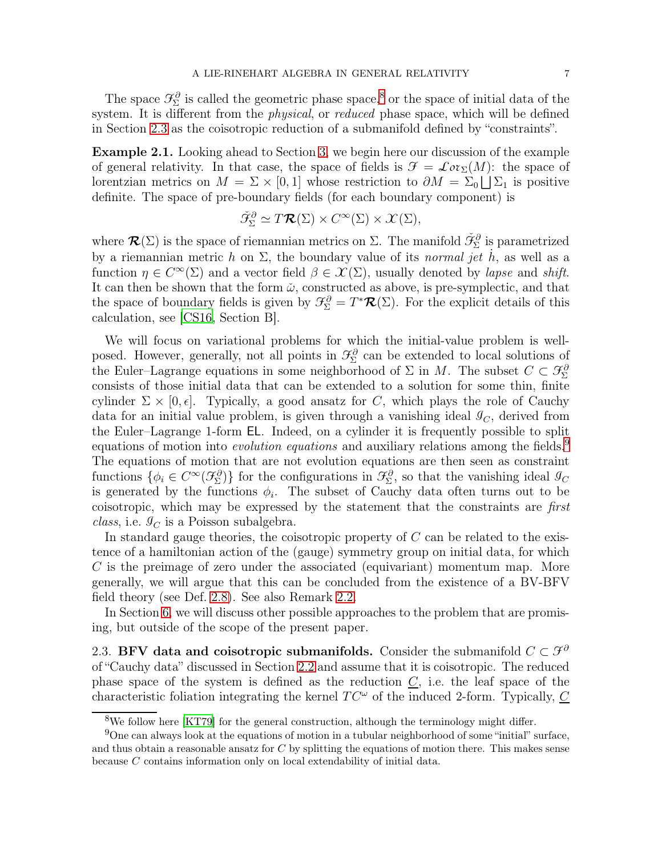The space  $\mathcal{F}_{\Sigma}^{\partial}$  is called the geometric phase space,<sup>[8](#page-6-1)</sup> or the space of initial data of the system. It is different from the *physical*, or *reduced* phase space, which will be defined in Section [2.3](#page-6-0) as the coisotropic reduction of a submanifold defined by "constraints".

<span id="page-6-3"></span>Example 2.1. Looking ahead to Section [3,](#page-11-0) we begin here our discussion of the example of general relativity. In that case, the space of fields is  $\mathcal{F} = \mathcal{L}ov_{\Sigma}(M)$ : the space of lorentzian metrics on  $M = \Sigma \times [0, 1]$  whose restriction to  $\partial M = \Sigma_0 \cup \Sigma_1$  is positive definite. The space of pre-boundary fields (for each boundary component) is

$$
\check{\mathcal{F}}_{\Sigma}^{\partial} \simeq T\mathcal{R}(\Sigma) \times C^{\infty}(\Sigma) \times \mathcal{X}(\Sigma),
$$

where  $\mathcal{R}(\Sigma)$  is the space of riemannian metrics on  $\Sigma$ . The manifold  $\check{\mathcal{F}}^{\partial}_{\Sigma}$  is parametrized by a riemannian metric h on  $\Sigma$ , the boundary value of its normal jet h, as well as a function  $\eta \in C^{\infty}(\Sigma)$  and a vector field  $\beta \in \mathcal{X}(\Sigma)$ , usually denoted by *lapse* and *shift*. It can then be shown that the form  $\tilde{\omega}$ , constructed as above, is pre-symplectic, and that the space of boundary fields is given by  $\mathcal{F}_{\Sigma}^{\partial} = T^* \mathcal{R}(\Sigma)$ . For the explicit details of this calculation, see [\[CS16](#page-31-1), Section B].

We will focus on variational problems for which the initial-value problem is wellposed. However, generally, not all points in  $\mathcal{F}_{\Sigma}^{\partial}$  can be extended to local solutions of the Euler–Lagrange equations in some neighborhood of  $\Sigma$  in M. The subset  $C \subset \mathcal{F}_{\Sigma}^{\partial}$ consists of those initial data that can be extended to a solution for some thin, finite cylinder  $\Sigma \times [0, \epsilon]$ . Typically, a good ansatz for C, which plays the role of Cauchy data for an initial value problem, is given through a vanishing ideal  $\mathcal{I}_C$ , derived from the Euler–Lagrange 1-form EL. Indeed, on a cylinder it is frequently possible to split equations of motion into *evolution equations* and auxiliary relations among the fields.<sup>[9](#page-6-2)</sup> The equations of motion that are not evolution equations are then seen as constraint functions  $\{\phi_i \in C^{\infty}(\mathcal{F}_{\Sigma}^{\partial})\}$  for the configurations in  $\mathcal{F}_{\Sigma}^{\partial}$ , so that the vanishing ideal  $\mathcal{I}_{C}$ is generated by the functions  $\phi_i$ . The subset of Cauchy data often turns out to be coisotropic, which may be expressed by the statement that the constraints are first *class*, i.e.  $\mathcal{I}_C$  is a Poisson subalgebra.

In standard gauge theories, the coisotropic property of  $C$  can be related to the existence of a hamiltonian action of the (gauge) symmetry group on initial data, for which C is the preimage of zero under the associated (equivariant) momentum map. More generally, we will argue that this can be concluded from the existence of a BV-BFV field theory (see Def. [2.8\)](#page-10-1). See also Remark [2.2.](#page-7-0)

In Section [6,](#page-28-0) we will discuss other possible approaches to the problem that are promising, but outside of the scope of the present paper.

<span id="page-6-0"></span>2.3. BFV data and coisotropic submanifolds. Consider the submanifold  $C \subset \mathcal{F}^{\partial}$ of "Cauchy data" discussed in Section [2.2](#page-5-0) and assume that it is coisotropic. The reduced phase space of the system is defined as the reduction  $C$ , i.e. the leaf space of the characteristic foliation integrating the kernel  $TC^{\omega}$  of the induced 2-form. Typically, C

<span id="page-6-1"></span><sup>8</sup>We follow here [\[KT79\]](#page-31-5) for the general construction, although the terminology might differ.

<span id="page-6-2"></span> $9^9$ One can always look at the equations of motion in a tubular neighborhood of some "initial" surface, and thus obtain a reasonable ansatz for  $C$  by splitting the equations of motion there. This makes sense because C contains information only on local extendability of initial data.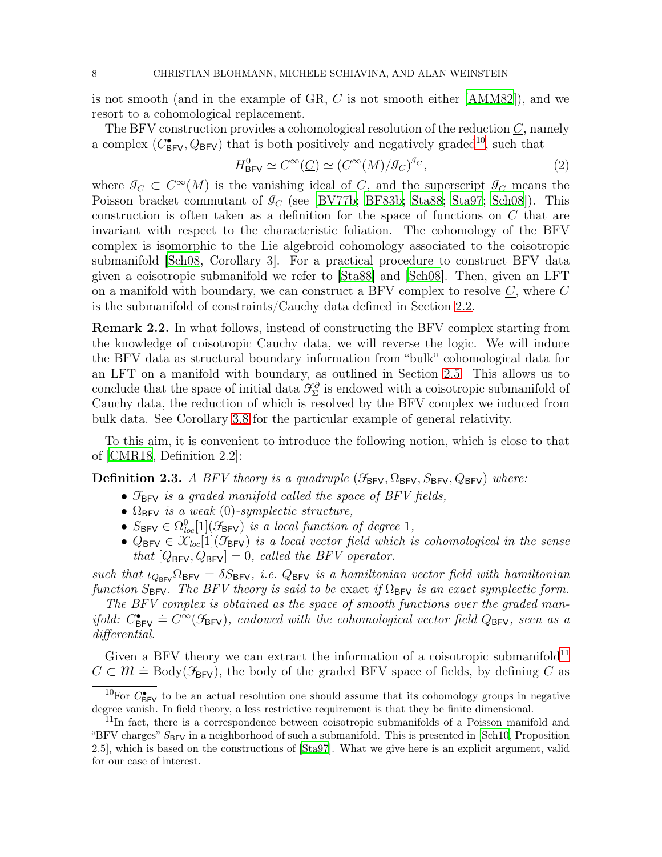is not smooth (and in the example of GR, C is not smooth either [\[AMM82](#page-29-4)]), and we resort to a cohomological replacement.

The BFV construction provides a cohomological resolution of the reduction  $\underline{C}$ , namely a complex  $(C_{\text{BFV}}^{\bullet}, Q_{\text{BFV}})$  that is both positively and negatively graded<sup>[10](#page-7-1)</sup>, such that

$$
H_{\text{BFV}}^{0} \simeq C^{\infty}(\underline{C}) \simeq (C^{\infty}(M)/\mathcal{I}_{C})^{\mathcal{I}_{C}},\tag{2}
$$

where  $\mathcal{G}_C \subset C^{\infty}(M)$  is the vanishing ideal of C, and the superscript  $\mathcal{G}_C$  means the Poisson bracket commutant of  $\mathcal{I}_C$  (see [\[BV77b](#page-30-8); [BF83b](#page-30-5); [Sta88;](#page-32-2) [Sta97;](#page-32-3) [Sch08\]](#page-32-4)). This construction is often taken as a definition for the space of functions on C that are invariant with respect to the characteristic foliation. The cohomology of the BFV complex is isomorphic to the Lie algebroid cohomology associated to the coisotropic submanifold [\[Sch08](#page-32-4), Corollary 3]. For a practical procedure to construct BFV data given a coisotropic submanifold we refer to [\[Sta88](#page-32-2)] and [\[Sch08\]](#page-32-4). Then, given an LFT on a manifold with boundary, we can construct a BFV complex to resolve  $C$ , where  $C$ is the submanifold of constraints/Cauchy data defined in Section [2.2.](#page-5-0)

<span id="page-7-0"></span>Remark 2.2. In what follows, instead of constructing the BFV complex starting from the knowledge of coisotropic Cauchy data, we will reverse the logic. We will induce the BFV data as structural boundary information from "bulk" cohomological data for an LFT on a manifold with boundary, as outlined in Section [2.5.](#page-10-0) This allows us to conclude that the space of initial data  $\mathcal{F}_{\Sigma}^{\partial}$  is endowed with a coisotropic submanifold of Cauchy data, the reduction of which is resolved by the BFV complex we induced from bulk data. See Corollary [3.8](#page-17-1) for the particular example of general relativity.

To this aim, it is convenient to introduce the following notion, which is close to that of [\[CMR18](#page-31-0), Definition 2.2]:

**Definition 2.3.** A BFV theory is a quadruple  $(\mathcal{F}_{BFV}, \Omega_{BFV}, S_{BFV}, Q_{BFV})$  where:

- $\mathcal{F}_{BFV}$  is a graded manifold called the space of BFV fields,
- $\Omega_{\text{BFV}}$  is a weak (0)-symplectic structure,
- $S_{\text{BFV}} \in \Omega^{0}_{loc}[1](\mathcal{F}_{\text{BFV}})$  is a local function of degree 1,
- $Q_{\text{BFV}} \in \mathcal{X}_{loc}[1](\mathcal{F}_{\text{BFV}})$  is a local vector field which is cohomological in the sense that  $[Q_{\text{BFV}}, Q_{\text{BFV}}] = 0$ , called the BFV operator.

such that  $\iota_{Q_{BFV}} \Omega_{BFV} = \delta S_{BFV}$ , i.e.  $Q_{BFV}$  is a hamiltonian vector field with hamiltonian function  $S_{\text{BFV}}$ . The BFV theory is said to be exact if  $\Omega_{\text{BFV}}$  is an exact symplectic form.

The BFV complex is obtained as the space of smooth functions over the graded manifold:  $C_{\text{BFV}}^{\bullet} \doteq C^{\infty}(\mathcal{F}_{\text{BFV}})$ , endowed with the cohomological vector field  $Q_{\text{BFV}}$ , seen as a differential.

Given a BFV theory we can extract the information of a coisotropic submanifold<sup>[11](#page-7-2)</sup>  $C \subset \mathcal{M} \doteq$  Body( $\mathcal{F}_{\mathsf{BFV}}$ ), the body of the graded BFV space of fields, by defining C as

<span id="page-7-1"></span><sup>&</sup>lt;sup>10</sup>For  $C_{\rm BFV}^{\bullet}$  to be an actual resolution one should assume that its cohomology groups in negative degree vanish. In field theory, a less restrictive requirement is that they be finite dimensional.

<span id="page-7-2"></span><sup>&</sup>lt;sup>11</sup>In fact, there is a correspondence between coisotropic submanifolds of a Poisson manifold and "BFV charges"  $S_{\text{BFV}}$  in a neighborhood of such a submanifold. This is presented in [\[Sch10,](#page-32-5) Proposition]" 2.5], which is based on the constructions of [\[Sta97](#page-32-3)]. What we give here is an explicit argument, valid for our case of interest.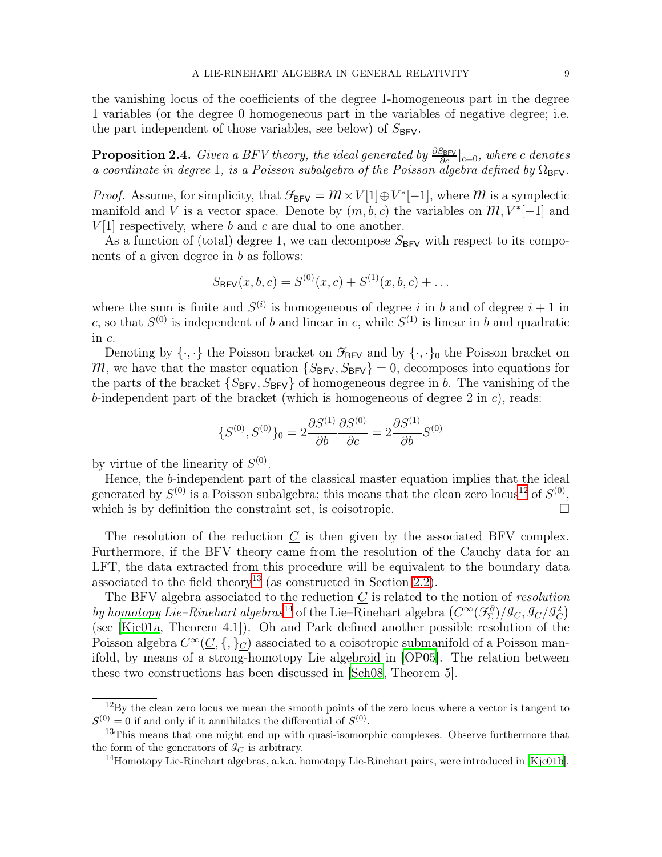the vanishing locus of the coefficients of the degree 1-homogeneous part in the degree 1 variables (or the degree 0 homogeneous part in the variables of negative degree; i.e. the part independent of those variables, see below) of  $S_{BFV}$ .

<span id="page-8-3"></span>**Proposition 2.4.** Given a BFV theory, the ideal generated by  $\frac{\partial S_{\text{BFV}}}{\partial c}|_{c=0}$ , where c denotes a coordinate in degree 1, is a Poisson subalgebra of the Poisson algebra defined by  $\Omega_{\text{BFV}}$ .

*Proof.* Assume, for simplicity, that  $\mathcal{F}_{BFV} = \mathcal{M} \times V[1] \oplus V^*[-1]$ , where  $\mathcal M$  is a symplectic manifold and V is a vector space. Denote by  $(m, b, c)$  the variables on  $m, V^*[-1]$  and  $V[1]$  respectively, where b and c are dual to one another.

As a function of (total) degree 1, we can decompose  $S_{\text{BFV}}$  with respect to its components of a given degree in b as follows:

$$
S_{\mathsf{BFV}}(x, b, c) = S^{(0)}(x, c) + S^{(1)}(x, b, c) + \dots
$$

where the sum is finite and  $S^{(i)}$  is homogeneous of degree i in b and of degree  $i + 1$  in c, so that  $S^{(0)}$  is independent of b and linear in c, while  $S^{(1)}$  is linear in b and quadratic in c.

Denoting by  $\{\cdot,\cdot\}$  the Poisson bracket on  $\mathcal{F}_{BFV}$  and by  $\{\cdot,\cdot\}_0$  the Poisson bracket on  $M$ , we have that the master equation  $\{S_{\text{BFV}}, S_{\text{BFV}}\} = 0$ , decomposes into equations for the parts of the bracket  $\{S_{\text{BFV}}, S_{\text{BFV}}\}$  of homogeneous degree in b. The vanishing of the b-independent part of the bracket (which is homogeneous of degree  $2$  in  $c$ ), reads:

$$
\{S^{(0)}, S^{(0)}\}_0 = 2\frac{\partial S^{(1)}}{\partial b} \frac{\partial S^{(0)}}{\partial c} = 2\frac{\partial S^{(1)}}{\partial b} S^{(0)}
$$

by virtue of the linearity of  $S^{(0)}$ .

Hence, the b-independent part of the classical master equation implies that the ideal generated by  $S^{(0)}$  is a Poisson subalgebra; this means that the clean zero locus<sup>[12](#page-8-0)</sup> of  $S^{(0)}$ , which is by definition the constraint set, is coisotropic.  $\Box$ 

The resolution of the reduction  $C$  is then given by the associated BFV complex. Furthermore, if the BFV theory came from the resolution of the Cauchy data for an LFT, the data extracted from this procedure will be equivalent to the boundary data associated to the field theory<sup>[13](#page-8-1)</sup> (as constructed in Section [2.2\)](#page-5-0).

The BFV algebra associated to the reduction  $C$  is related to the notion of *resolution* by homotopy Lie–Rinehart algebras<sup>[14](#page-8-2)</sup> of the Lie–Rinehart algebra  $(C^{\infty}(\mathcal{F}_{\Sigma}^{\partial})/\mathcal{I}_{C}, \mathcal{I}_{C}/\mathcal{I}_{C}^{2})$ (see [\[Kje01a,](#page-32-6) Theorem 4.1]). Oh and Park defined another possible resolution of the Poisson algebra  $C^{\infty}(\underline{C}, \{,\}_{\underline{C}})$  associated to a coisotropic submanifold of a Poisson manifold, by means of a strong-homotopy Lie algebroid in [\[OP05](#page-32-7)]. The relation between these two constructions has been discussed in [\[Sch08,](#page-32-4) Theorem 5].

<span id="page-8-0"></span><sup>&</sup>lt;sup>12</sup>By the clean zero locus we mean the smooth points of the zero locus where a vector is tangent to  $S^{(0)} = 0$  if and only if it annihilates the differential of  $S^{(0)}$ .

<sup>&</sup>lt;sup>13</sup>This means that one might end up with quasi-isomorphic complexes. Observe furthermore that the form of the generators of  $\mathcal{G}_C$  is arbitrary.

<span id="page-8-2"></span><span id="page-8-1"></span><sup>&</sup>lt;sup>14</sup>Homotopy Lie-Rinehart algebras, a.k.a. homotopy Lie-Rinehart pairs, were introduced in [\[Kje01b\]](#page-32-8).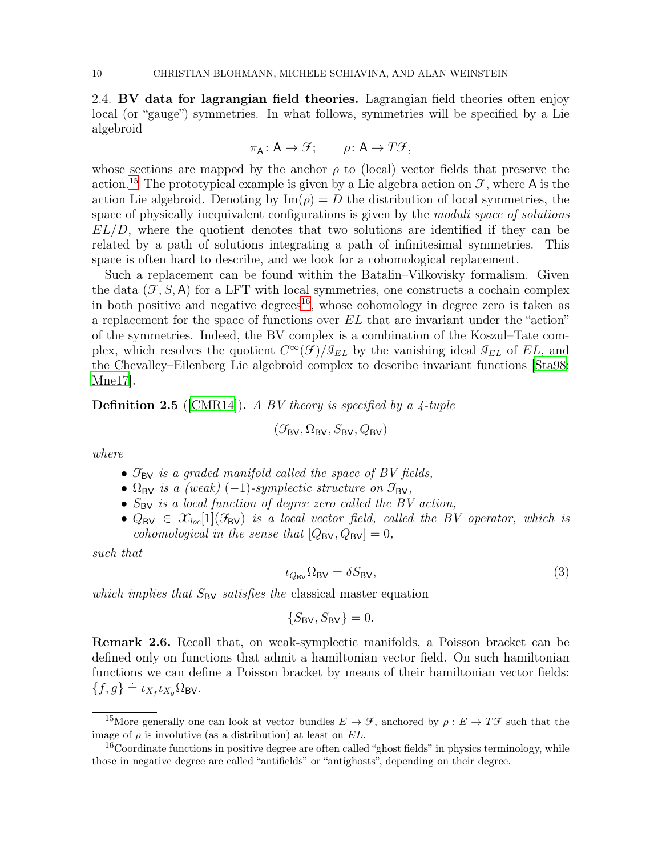<span id="page-9-0"></span>2.4. BV data for lagrangian field theories. Lagrangian field theories often enjoy local (or "gauge") symmetries. In what follows, symmetries will be specified by a Lie algebroid

$$
\pi_{A}: A \to \mathcal{F}; \qquad \rho: A \to T\mathcal{F},
$$

whose sections are mapped by the anchor  $\rho$  to (local) vector fields that preserve the action.<sup>[15](#page-9-1)</sup> The prototypical example is given by a Lie algebra action on  $\mathcal{F}$ , where A is the action Lie algebroid. Denoting by  $\text{Im}(\rho) = D$  the distribution of local symmetries, the space of physically inequivalent configurations is given by the *moduli space of solutions*  $EL/D$ , where the quotient denotes that two solutions are identified if they can be related by a path of solutions integrating a path of infinitesimal symmetries. This space is often hard to describe, and we look for a cohomological replacement.

Such a replacement can be found within the Batalin–Vilkovisky formalism. Given the data  $(\mathcal{F}, S, A)$  for a LFT with local symmetries, one constructs a cochain complex in both positive and negative degrees<sup>[16](#page-9-2)</sup>, whose cohomology in degree zero is taken as a replacement for the space of functions over EL that are invariant under the "action" of the symmetries. Indeed, the BV complex is a combination of the Koszul–Tate complex, which resolves the quotient  $C^{\infty}(\mathcal{F})/\mathcal{I}_{EL}$  by the vanishing ideal  $\mathcal{I}_{EL}$  of  $EL$ , and the Chevalley–Eilenberg Lie algebroid complex to describe invariant functions [\[Sta98;](#page-32-9) [Mne17](#page-32-10)].

**Definition 2.5** ([\[CMR14\]](#page-30-2)). A BV theory is specified by a  $\lambda$ -tuple

$$
(\mathcal{F}_{\text{BV}}, \Omega_{\text{BV}}, S_{\text{BV}}, Q_{\text{BV}})
$$

where

- $\mathcal{F}_{BV}$  is a graded manifold called the space of BV fields,
- $\Omega_{\text{BV}}$  is a (weak) (-1)-symplectic structure on  $\mathcal{F}_{\text{BV}}$ ,
- $S_{BV}$  is a local function of degree zero called the BV action,
- $Q_{BV} \in \mathcal{X}_{loc}[1](\mathcal{F}_{BV})$  is a local vector field, called the BV operator, which is cohomological in the sense that  $[Q_{\rm BV}, Q_{\rm BV}] = 0$ ,

such that

<span id="page-9-3"></span>
$$
\iota_{Q_{\text{BV}}} \Omega_{\text{BV}} = \delta S_{\text{BV}},\tag{3}
$$

which implies that  $S_{\text{BV}}$  satisfies the classical master equation

$$
\{S_{\mathsf{BV}}, S_{\mathsf{BV}}\} = 0.
$$

Remark 2.6. Recall that, on weak-symplectic manifolds, a Poisson bracket can be defined only on functions that admit a hamiltonian vector field. On such hamiltonian functions we can define a Poisson bracket by means of their hamiltonian vector fields:  ${f, g} \doteq \iota_{X_f} \iota_{X_g} \Omega_{\text{BV}}.$ 

<span id="page-9-1"></span><sup>&</sup>lt;sup>15</sup>More generally one can look at vector bundles  $E \to \mathcal{F}$ , anchored by  $\rho : E \to T\mathcal{F}$  such that the image of  $\rho$  is involutive (as a distribution) at least on  $EL$ .

<span id="page-9-2"></span><sup>&</sup>lt;sup>16</sup>Coordinate functions in positive degree are often called "ghost fields" in physics terminology, while those in negative degree are called "antifields" or "antighosts", depending on their degree.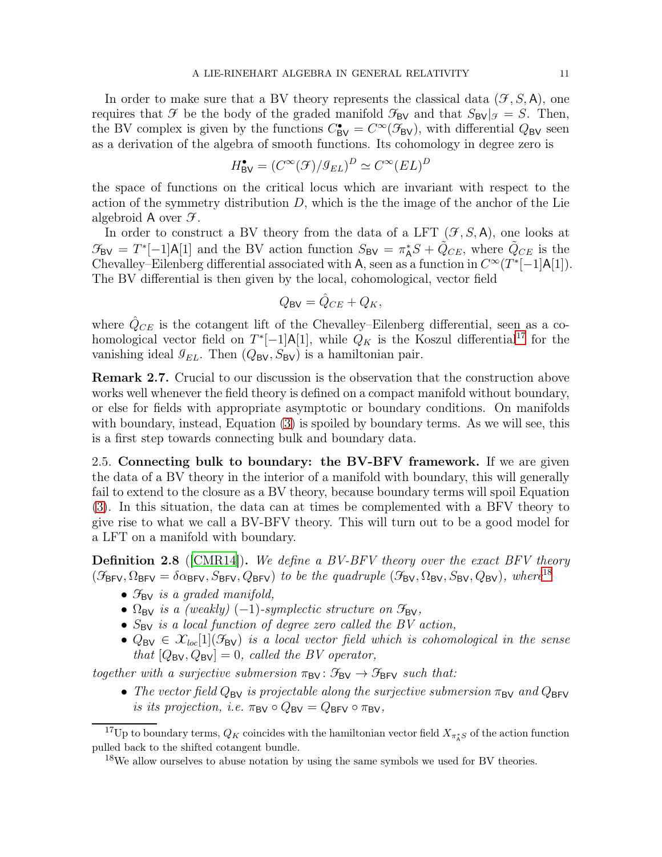In order to make sure that a BV theory represents the classical data  $(\mathcal{F}, S, A)$ , one requires that  $\mathcal F$  be the body of the graded manifold  $\mathcal F_{\mathsf{BV}}$  and that  $S_{\mathsf{BV}}|_{\mathcal F} = S$ . Then, the BV complex is given by the functions  $C_{BV}^{\bullet} = C^{\infty}(\mathcal{F}_{BV})$ , with differential  $Q_{BV}$  seen as a derivation of the algebra of smooth functions. Its cohomology in degree zero is

$$
H^{\bullet}_{\text{BV}} = (C^{\infty}(\mathcal{F})/\mathcal{G}_{EL})^D \simeq C^{\infty}(EL)^D
$$

the space of functions on the critical locus which are invariant with respect to the action of the symmetry distribution  $D$ , which is the the image of the anchor of the Lie algebroid A over  $\mathcal{F}$ .

In order to construct a BV theory from the data of a LFT  $(\mathcal{F}, S, A)$ , one looks at  $\mathcal{F}_{\mathsf{BV}} = T^*[-1]\mathsf{A}[1]$  and the BV action function  $S_{\mathsf{BV}} = \pi^*_{\mathsf{A}}S + \tilde{Q}_{CE}$ , where  $\tilde{Q}_{CE}$  is the Chevalley–Eilenberg differential associated with A, seen as a function in  $C^{\infty}(T^{*}[-1]A[1])$ . The BV differential is then given by the local, cohomological, vector field

$$
Q_{\rm BV} = \hat{Q}_{CE} + Q_K,
$$

where  $\hat{Q}_{CE}$  is the cotangent lift of the Chevalley–Eilenberg differential, seen as a cohomological vector field on  $T^*[-1]A[1]$ , while  $Q_K$  is the Koszul differential<sup>[17](#page-10-2)</sup> for the vanishing ideal  $\mathcal{I}_{EL}$ . Then  $(Q_{BV}, S_{BV})$  is a hamiltonian pair.

Remark 2.7. Crucial to our discussion is the observation that the construction above works well whenever the field theory is defined on a compact manifold without boundary, or else for fields with appropriate asymptotic or boundary conditions. On manifolds with boundary, instead, Equation [\(3\)](#page-9-3) is spoiled by boundary terms. As we will see, this is a first step towards connecting bulk and boundary data.

<span id="page-10-0"></span>2.5. Connecting bulk to boundary: the BV-BFV framework. If we are given the data of a BV theory in the interior of a manifold with boundary, this will generally fail to extend to the closure as a BV theory, because boundary terms will spoil Equation [\(3\)](#page-9-3). In this situation, the data can at times be complemented with a BFV theory to give rise to what we call a BV-BFV theory. This will turn out to be a good model for a LFT on a manifold with boundary.

<span id="page-10-1"></span>**Definition 2.8** ([\[CMR14\]](#page-30-2)). We define a BV-BFV theory over the exact BFV theory  $(\mathcal{F}_{BFV}, \Omega_{BFV} = \delta \alpha_{BFV}, S_{BFV}, Q_{BFV})$  to be the quadruple  $(\mathcal{F}_{BV}, \Omega_{BV}, S_{BV}, Q_{BV})$ , where<sup>[18](#page-10-3)</sup>

- $\mathcal{F}_{\mathsf{BV}}$  is a graded manifold,
- $\Omega_{\rm BV}$  is a (weakly) (-1)-symplectic structure on  $\mathcal{F}_{\rm BV}$ ,
- $S_{BV}$  is a local function of degree zero called the BV action,
- $Q_{BV} \in \mathcal{X}_{loc}[1](\mathcal{F}_{BV})$  is a local vector field which is cohomological in the sense that  $[Q_{BV}, Q_{BV}] = 0$ , called the BV operator,

together with a surjective submersion  $\pi_{\text{BV}} : \mathcal{F}_{\text{BV}} \to \mathcal{F}_{\text{BFV}}$  such that:

• The vector field  $Q_{BV}$  is projectable along the surjective submersion  $\pi_{BV}$  and  $Q_{BFV}$ is its projection, i.e.  $\pi_{\text{BV}} \circ Q_{\text{BV}} = Q_{\text{BFV}} \circ \pi_{\text{BV}}$ ,

<sup>&</sup>lt;sup>17</sup>Up to boundary terms,  $Q_K$  coincides with the hamiltonian vector field  $X_{\pi^*_A S}$  of the action function pulled back to the shifted cotangent bundle.

<span id="page-10-3"></span><span id="page-10-2"></span> $18\text{We allow ourselves to abuse notation by using the same symbols we used for BV theories.}$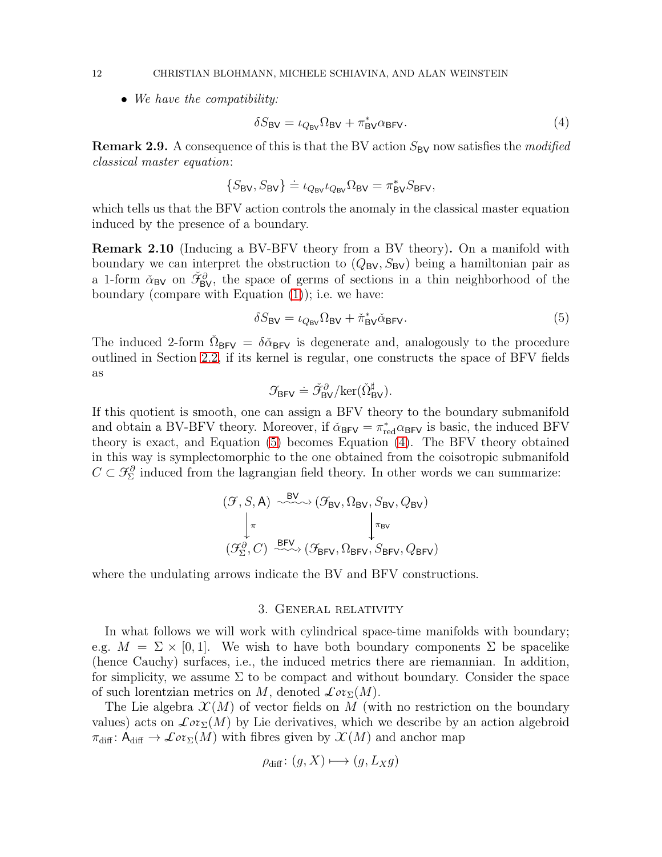• We have the compatibility:

<span id="page-11-2"></span>
$$
\delta S_{\rm BV} = \iota_{Q_{\rm BV}} \Omega_{\rm BV} + \pi_{\rm BV}^* \alpha_{\rm BFV}.\tag{4}
$$

**Remark 2.9.** A consequence of this is that the BV action  $S_{\text{BV}}$  now satisfies the modified classical master equation:

$$
\{S_{\rm BV}, S_{\rm BV}\} \doteq \iota_{Q_{\rm BV}} \iota_{Q_{\rm BV}} \Omega_{\rm BV} = \pi_{\rm BV}^* S_{\rm BFV},
$$

which tells us that the BFV action controls the anomaly in the classical master equation induced by the presence of a boundary.

<span id="page-11-3"></span>Remark 2.10 (Inducing a BV-BFV theory from a BV theory). On a manifold with boundary we can interpret the obstruction to  $(Q_{BV}, S_{BV})$  being a hamiltonian pair as a 1-form  $\check{\alpha}_{\rm BV}$  on  $\check{\mathcal{F}}_{\rm BV}^{\partial}$ , the space of germs of sections in a thin neighborhood of the boundary (compare with Equation [\(1\)](#page-5-3)); i.e. we have:

<span id="page-11-1"></span>
$$
\delta S_{\rm BV} = \iota_{Q_{\rm BV}} \Omega_{\rm BV} + \check{\pi}_{\rm BV}^* \check{\alpha}_{\rm BFV}.
$$
\n(5)

The induced 2-form  $\tilde{\Omega}_{BFV} = \delta \tilde{\alpha}_{BFV}$  is degenerate and, analogously to the procedure outlined in Section [2.2,](#page-5-0) if its kernel is regular, one constructs the space of BFV fields as

$$
\mathcal{F}_{\text{BFV}} \doteq \check{\mathcal{F}}_{\text{BV}}^{\partial}/\text{ker}(\check{\Omega}_{\text{BV}}^{\sharp}).
$$

If this quotient is smooth, one can assign a BFV theory to the boundary submanifold and obtain a BV-BFV theory. Moreover, if  $\tilde{\alpha}_{BFV} = \pi_{red}^* \alpha_{BFV}$  is basic, the induced BFV theory is exact, and Equation [\(5\)](#page-11-1) becomes Equation [\(4\)](#page-11-2). The BFV theory obtained in this way is symplectomorphic to the one obtained from the coisotropic submanifold  $C \subset \mathcal{F}_{\Sigma}^{\partial}$  induced from the lagrangian field theory. In other words we can summarize:

$$
(\mathcal{F}, S, A) \xrightarrow{\text{BV}} (\mathcal{F}_{\text{BV}}, \Omega_{\text{BV}}, S_{\text{BV}}, Q_{\text{BV}})
$$

$$
\downarrow^{\pi} \qquad \qquad \downarrow^{\pi_{\text{BV}}} (\mathcal{F}_{\Sigma}^{\partial}, C) \xrightarrow{\text{BFV}} (\mathcal{F}_{\text{BFV}}, \Omega_{\text{BFV}}, S_{\text{BFV}}, Q_{\text{BFV}})
$$

<span id="page-11-0"></span>where the undulating arrows indicate the BV and BFV constructions.

## 3. General relativity

In what follows we will work with cylindrical space-time manifolds with boundary; e.g.  $M = \Sigma \times [0, 1]$ . We wish to have both boundary components  $\Sigma$  be spacelike (hence Cauchy) surfaces, i.e., the induced metrics there are riemannian. In addition, for simplicity, we assume  $\Sigma$  to be compact and without boundary. Consider the space of such lorentzian metrics on M, denoted  $\mathcal{L}or_{\Sigma}(M)$ .

The Lie algebra  $\mathcal{X}(M)$  of vector fields on M (with no restriction on the boundary values) acts on  $\mathcal{L}or_{\Sigma}(M)$  by Lie derivatives, which we describe by an action algebroid  $\pi_{\text{diff}}: \mathsf{A}_{\text{diff}} \to \mathcal{L}or_{\Sigma}(M)$  with fibres given by  $\mathcal{X}(M)$  and anchor map

$$
\rho_{\text{diff}}\colon (g, X) \longmapsto (g, L_X g)
$$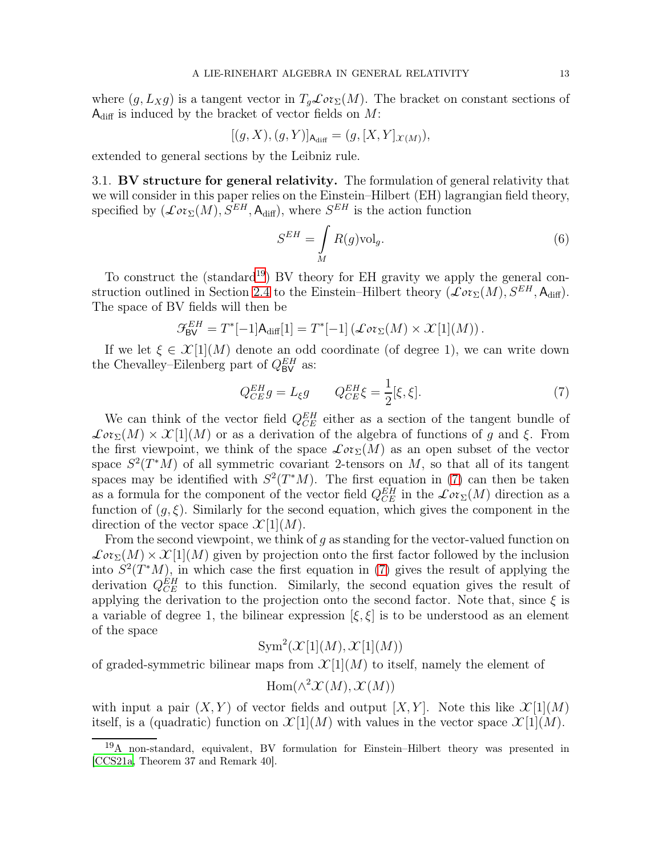where  $(g, L_X g)$  is a tangent vector in  $T_g\mathcal{L}or_{\Sigma}(M)$ . The bracket on constant sections of  $A_{\text{diff}}$  is induced by the bracket of vector fields on M:

$$
[(g, X), (g, Y)]_{A_{\text{diff}}} = (g, [X, Y]_{\mathcal{X}(M)}),
$$

<span id="page-12-0"></span>extended to general sections by the Leibniz rule.

3.1. BV structure for general relativity. The formulation of general relativity that we will consider in this paper relies on the Einstein–Hilbert (EH) lagrangian field theory, specified by  $(\mathcal{L}or_{\Sigma}(M), S^{EH}, \mathsf{A}_{\text{diff}})$ , where  $S^{EH}$  is the action function

<span id="page-12-3"></span>
$$
S^{EH} = \int\limits_M R(g) \text{vol}_g. \tag{6}
$$

To construct the (standard<sup>[19](#page-12-1)</sup>) BV theory for EH gravity we apply the general con-struction outlined in Section [2.4](#page-9-0) to the Einstein–Hilbert theory  $(\mathcal{L}o\zeta)(M)$ ,  $S^{EH}$ , A<sub>diff</sub>). The space of BV fields will then be

$$
\mathcal{F}_{\text{BV}}^{EH} = T^*[-1]\mathsf{A}_{\text{diff}}[1] = T^*[-1] \left( \mathcal{L}or_{\Sigma}(M) \times \mathcal{X}[1](M) \right).
$$

If we let  $\xi \in \mathcal{X}[1](M)$  denote an odd coordinate (of degree 1), we can write down the Chevalley–Eilenberg part of  $Q_{BV}^{EH}$  as:

<span id="page-12-2"></span>
$$
Q_{CE}^{EH}g = L_{\xi}g \qquad Q_{CE}^{EH}\xi = \frac{1}{2}[\xi, \xi]. \tag{7}
$$

We can think of the vector field  $Q_{CE}^{EH}$  either as a section of the tangent bundle of  $\mathcal{L}or_{\Sigma}(M)\times\mathcal{X}[1](M)$  or as a derivation of the algebra of functions of g and ξ. From the first viewpoint, we think of the space  $\mathcal{L}or_{\Sigma}(M)$  as an open subset of the vector space  $S^2(T^*M)$  of all symmetric covariant 2-tensors on M, so that all of its tangent spaces may be identified with  $S^2(T^*M)$ . The first equation in [\(7\)](#page-12-2) can then be taken as a formula for the component of the vector field  $Q_{CE}^{EH}$  in the  $\mathcal{L}ot_{\Sigma}(M)$  direction as a function of  $(g, \xi)$ . Similarly for the second equation, which gives the component in the direction of the vector space  $\mathcal{X}[1](M)$ .

From the second viewpoint, we think of g as standing for the vector-valued function on  $\mathcal{L}or_{\Sigma}(M)\times\mathcal{X}[1](M)$  given by projection onto the first factor followed by the inclusion into  $S^2(T^*M)$ , in which case the first equation in [\(7\)](#page-12-2) gives the result of applying the derivation  $Q_{CE}^{EH}$  to this function. Similarly, the second equation gives the result of applying the derivation to the projection onto the second factor. Note that, since  $\xi$  is a variable of degree 1, the bilinear expression  $[\xi, \xi]$  is to be understood as an element of the space

 $\text{Sym}^2(\mathcal{X}[1](M), \mathcal{X}[1](M))$ 

of graded-symmetric bilinear maps from  $\mathcal{X}[1](M)$  to itself, namely the element of

$$
\mathrm{Hom}(\wedge^2 \mathcal{X}(M), \mathcal{X}(M))
$$

with input a pair  $(X, Y)$  of vector fields and output  $[X, Y]$ . Note this like  $\mathcal{X}[1](M)$ itself, is a (quadratic) function on  $\mathcal{X}[1](M)$  with values in the vector space  $\mathcal{X}[1](M)$ .

<span id="page-12-1"></span><sup>19</sup>A non-standard, equivalent, BV formulation for Einstein–Hilbert theory was presented in [\[CCS21a,](#page-30-9) Theorem 37 and Remark 40].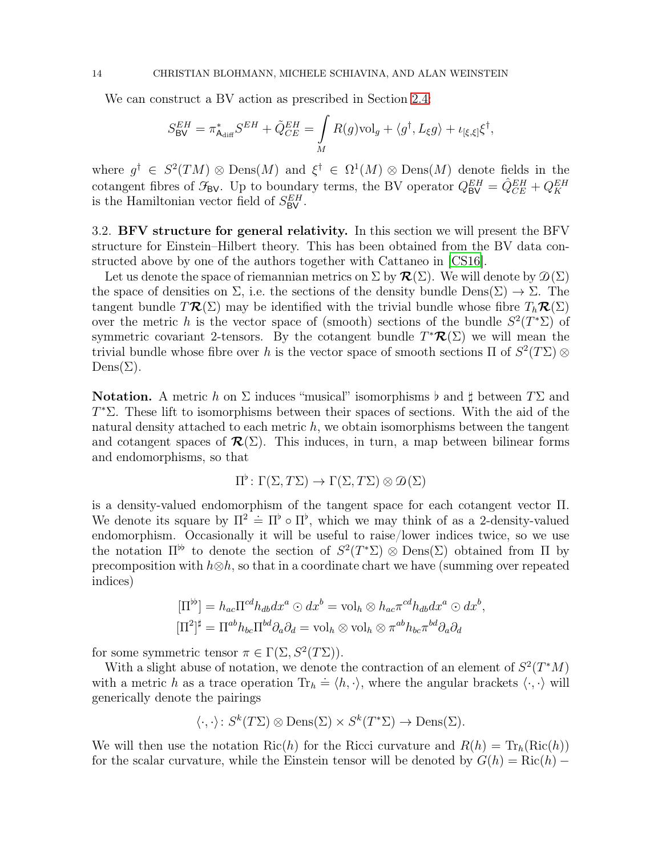We can construct a BV action as prescribed in Section [2.4:](#page-9-0)

$$
S^{EH}_{\text{BV}} = \pi^*_{\text{A}_{\text{diff}}} S^{EH} + \tilde{Q}^{EH}_{CE} = \int\limits_{M} R(g) \text{vol}_g + \langle g^\dagger, L_\xi g \rangle + \iota_{[\xi, \xi]} \xi^\dagger,
$$

where  $g^{\dagger} \in S^2(TM) \otimes \text{Dens}(M)$  and  $\xi^{\dagger} \in \Omega^1(M) \otimes \text{Dens}(M)$  denote fields in the cotangent fibres of  $\mathcal{F}_{BV}$ . Up to boundary terms, the BV operator  $Q_{BV}^{EH} = \hat{Q}_{CE}^{EH} + Q_{K}^{EH}$ is the Hamiltonian vector field of  $S_{\text{BV}}^{EH}$ .

<span id="page-13-0"></span>3.2. BFV structure for general relativity. In this section we will present the BFV structure for Einstein–Hilbert theory. This has been obtained from the BV data constructed above by one of the authors together with Cattaneo in [\[CS16](#page-31-1)].

Let us denote the space of riemannian metrics on  $\Sigma$  by  $\mathcal{R}(\Sigma)$ . We will denote by  $\mathcal{D}(\Sigma)$ the space of densities on  $\Sigma$ , i.e. the sections of the density bundle  $\text{Dens}(\Sigma) \to \Sigma$ . The tangent bundle  $T\mathcal{R}(\Sigma)$  may be identified with the trivial bundle whose fibre  $T_h\mathcal{R}(\Sigma)$ over the metric h is the vector space of (smooth) sections of the bundle  $S^2(T^*\Sigma)$  of symmetric covariant 2-tensors. By the cotangent bundle  $T^{\ast}R(\Sigma)$  we will mean the trivial bundle whose fibre over h is the vector space of smooth sections  $\Pi$  of  $S^2(T\Sigma)$  ⊗  $Dens(\Sigma)$ .

<span id="page-13-1"></span>**Notation.** A metric h on  $\Sigma$  induces "musical" isomorphisms  $\flat$  and  $\sharp$  between  $T\Sigma$  and T <sup>∗</sup>Σ. These lift to isomorphisms between their spaces of sections. With the aid of the natural density attached to each metric  $h$ , we obtain isomorphisms between the tangent and cotangent spaces of  $\mathcal{R}(\Sigma)$ . This induces, in turn, a map between bilinear forms and endomorphisms, so that

$$
\Pi^{\flat} \colon \Gamma(\Sigma, T\Sigma) \to \Gamma(\Sigma, T\Sigma) \otimes \mathcal{D}(\Sigma)
$$

is a density-valued endomorphism of the tangent space for each cotangent vector Π. We denote its square by  $\Pi^2 = \Pi^{\flat} \circ \Pi^{\flat}$ , which we may think of as a 2-density-valued endomorphism. Occasionally it will be useful to raise/lower indices twice, so we use the notation  $\Pi^{\flat}$  to denote the section of  $S^2(T^*\Sigma) \otimes \text{Dens}(\Sigma)$  obtained from  $\Pi$  by precomposition with  $h\otimes h$ , so that in a coordinate chart we have (summing over repeated indices)

$$
[\Pi^{\flat b}] = h_{ac} \Pi^{cd} h_{db} dx^a \odot dx^b = \text{vol}_h \otimes h_{ac} \pi^{cd} h_{db} dx^a \odot dx^b,
$$
  

$$
[\Pi^2]^{\sharp} = \Pi^{ab} h_{bc} \Pi^{bd} \partial_a \partial_d = \text{vol}_h \otimes \text{vol}_h \otimes \pi^{ab} h_{bc} \pi^{bd} \partial_a \partial_d
$$

for some symmetric tensor  $\pi \in \Gamma(\Sigma, S^2(T\Sigma)).$ 

With a slight abuse of notation, we denote the contraction of an element of  $S^2(T^*M)$ with a metric h as a trace operation  $\text{Tr}_h \doteq \langle h, \cdot \rangle$ , where the angular brackets  $\langle \cdot, \cdot \rangle$  will generically denote the pairings

$$
\langle \cdot, \cdot \rangle \colon S^k(T\Sigma) \otimes \text{Dens}(\Sigma) \times S^k(T^*\Sigma) \to \text{Dens}(\Sigma).
$$

We will then use the notation Ric(h) for the Ricci curvature and  $R(h) = Tr_h(Ric(h))$ for the scalar curvature, while the Einstein tensor will be denoted by  $G(h) = \text{Ric}(h) -$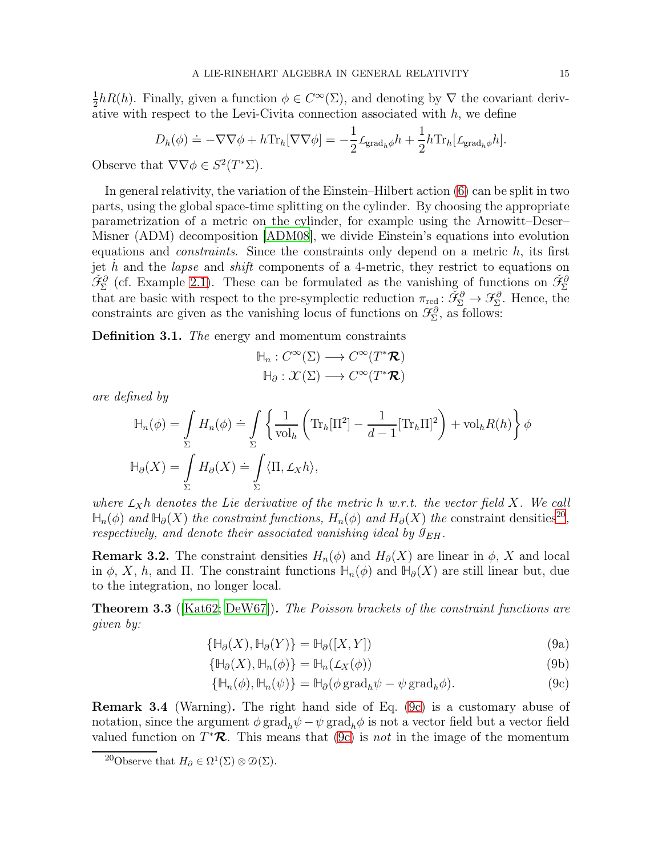1  $\frac{1}{2}hR(h)$ . Finally, given a function  $\phi \in C^{\infty}(\Sigma)$ , and denoting by  $\nabla$  the covariant derivative with respect to the Levi-Civita connection associated with  $h$ , we define

$$
D_h(\phi) \doteq -\nabla \nabla \phi + h \text{Tr}_h[\nabla \nabla \phi] = -\frac{1}{2} \mathcal{L}_{\text{grad}_h \phi} h + \frac{1}{2} h \text{Tr}_h[\mathcal{L}_{\text{grad}_h \phi} h].
$$

Observe that  $\nabla \nabla \phi \in S^2(T^*\Sigma)$ .

In general relativity, the variation of the Einstein–Hilbert action [\(6\)](#page-12-3) can be split in two parts, using the global space-time splitting on the cylinder. By choosing the appropriate parametrization of a metric on the cylinder, for example using the Arnowitt–Deser– Misner (ADM) decomposition [\[ADM08](#page-29-5)], we divide Einstein's equations into evolution equations and *constraints*. Since the constraints only depend on a metric  $h$ , its first jet  $\dot{h}$  and the *lapse* and *shift* components of a 4-metric, they restrict to equations on  $\check{\mathfrak{F}}^{\partial}_{\Sigma}$  (cf. Example [2.1\)](#page-6-3). These can be formulated as the vanishing of functions on  $\check{\mathfrak{F}}^{\partial}_{\Sigma}$ that are basic with respect to the pre-symplectic reduction  $\pi_{\text{red}} : \check{\mathcal{F}}_{\Sigma}^{\partial} \to \mathcal{F}_{\Sigma}^{\partial}$ . Hence, the constraints are given as the vanishing locus of functions on  $\mathcal{F}_{\Sigma}^{\partial}$ , as follows:

<span id="page-14-2"></span>Definition 3.1. The energy and momentum constraints

$$
\mathbb{H}_n: C^{\infty}(\Sigma) \longrightarrow C^{\infty}(T^*\mathcal{R})
$$

$$
\mathbb{H}_{\partial}: \mathcal{X}(\Sigma) \longrightarrow C^{\infty}(T^*\mathcal{R})
$$

are defined by

$$
\mathbb{H}_n(\phi) = \int_{\Sigma} H_n(\phi) \doteq \int_{\Sigma} \left\{ \frac{1}{\text{vol}_h} \left( \text{Tr}_h[\Pi^2] - \frac{1}{d-1} [\text{Tr}_h \Pi]^2 \right) + \text{vol}_h R(h) \right\} \phi
$$
  

$$
\mathbb{H}_{\partial}(X) = \int_{\Sigma} H_{\partial}(X) \doteq \int_{\Sigma} \langle \Pi, \mathcal{L}_X h \rangle,
$$

where  $L_Xh$  denotes the Lie derivative of the metric h w.r.t. the vector field X. We call  $\mathbb{H}_n(\phi)$  and  $\mathbb{H}_\partial(X)$  the constraint functions,  $H_n(\phi)$  and  $H_\partial(X)$  the constraint densities<sup>[20](#page-14-0)</sup>, respectively, and denote their associated vanishing ideal by  $\mathcal{I}_{EH}$ .

**Remark 3.2.** The constraint densities  $H_n(\phi)$  and  $H_\partial(X)$  are linear in  $\phi$ , X and local in  $\phi$ , X, h, and  $\Pi$ . The constraint functions  $\mathbb{H}_n(\phi)$  and  $\mathbb{H}_\partial(X)$  are still linear but, due to the integration, no longer local.

<span id="page-14-3"></span>**Theorem 3.3** ( $[Kat62; DeW67]$  $[Kat62; DeW67]$  $[Kat62; DeW67]$ ). The Poisson brackets of the constraint functions are given by:

$$
\{\mathbb{H}_{\partial}(X), \mathbb{H}_{\partial}(Y)\} = \mathbb{H}_{\partial}([X, Y])
$$
\n(9a)

$$
\{\mathbb{H}_{\partial}(X), \mathbb{H}_{n}(\phi)\} = \mathbb{H}_{n}(\mathcal{L}_{X}(\phi))
$$
\n(9b)

<span id="page-14-1"></span>
$$
\{\mathbb{H}_n(\phi), \mathbb{H}_n(\psi)\} = \mathbb{H}_{\partial}(\phi \operatorname{grad}_h \psi - \psi \operatorname{grad}_h \phi).
$$
 (9c)

Remark 3.4 (Warning). The right hand side of Eq. [\(9c\)](#page-14-1) is a customary abuse of notation, since the argument  $\phi \, grad_h \psi - \psi \, grad_h \phi$  is not a vector field but a vector field valued function on  $T^*\mathcal{R}$ . This means that [\(9c\)](#page-14-1) is *not* in the image of the momentum

<span id="page-14-0"></span><sup>&</sup>lt;sup>20</sup>Observe that  $H_{\partial} \in \Omega^1(\Sigma) \otimes \mathcal{D}(\Sigma)$ .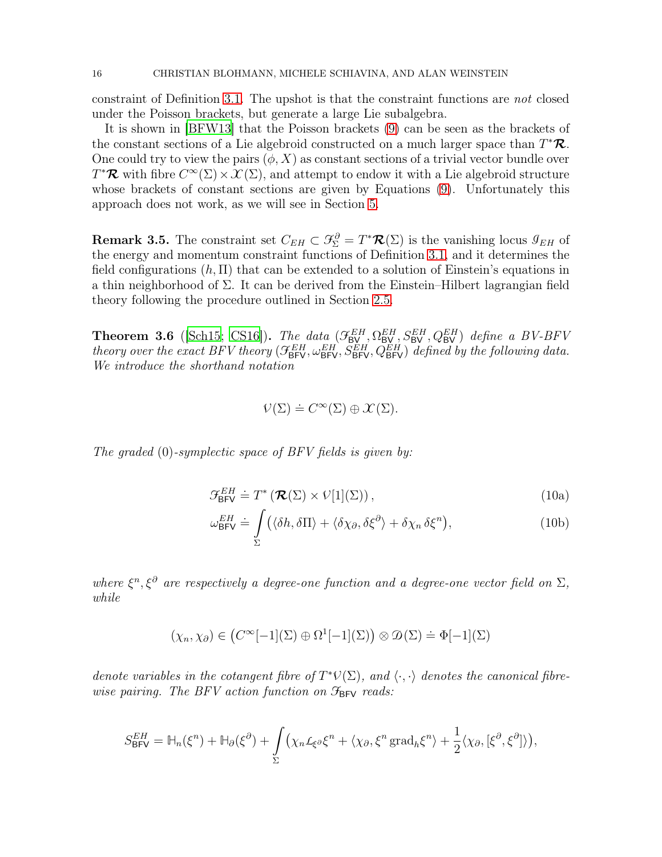constraint of Definition [3.1.](#page-14-2) The upshot is that the constraint functions are not closed under the Poisson brackets, but generate a large Lie subalgebra.

It is shown in [\[BFW13\]](#page-30-0) that the Poisson brackets [\(9\)](#page-14-3) can be seen as the brackets of the constant sections of a Lie algebroid constructed on a much larger space than  $T^*\mathcal{R}$ . One could try to view the pairs  $(\phi, X)$  as constant sections of a trivial vector bundle over  $T^*\mathcal{R}$  with fibre  $C^{\infty}(\Sigma) \times \mathcal{X}(\Sigma)$ , and attempt to endow it with a Lie algebroid structure whose brackets of constant sections are given by Equations [\(9\)](#page-14-3). Unfortunately this approach does not work, as we will see in Section [5.](#page-23-0)

**Remark 3.5.** The constraint set  $C_{EH} \subset \mathcal{F}_{\Sigma}^{\partial} = T^* \mathcal{R}(\Sigma)$  is the vanishing locus  $\mathcal{I}_{EH}$  of the energy and momentum constraint functions of Definition [3.1,](#page-14-2) and it determines the field configurations  $(h, \Pi)$  that can be extended to a solution of Einstein's equations in a thin neighborhood of  $\Sigma$ . It can be derived from the Einstein–Hilbert lagrangian field theory following the procedure outlined in Section [2.5.](#page-10-0)

<span id="page-15-0"></span>**Theorem 3.6** ([\[Sch15](#page-32-0); [CS16](#page-31-1)]). The data  $(\mathcal{F}_{BV}^{EH}, \Omega_{BV}^{EH}, S_{BV}^{EH}, Q_{BV}^{EH})$  define a BV-BFV theory over the exact BFV theory ( $\mathcal{F}_{BFV}^{EH}, \omega_{BFV}^{EH}, S_{BFV}^{EH}, Q_{BFV}^{EH}$ ) defined by the following data. We introduce the shorthand notation

<span id="page-15-1"></span>
$$
\mathcal{V}(\Sigma) \doteq C^{\infty}(\Sigma) \oplus \mathcal{X}(\Sigma).
$$

The graded  $(0)$ -symplectic space of BFV fields is given by:

$$
\mathcal{F}_{\text{BFV}}^{EH} \doteq T^{\ast} \left( \mathcal{R}(\Sigma) \times V[1](\Sigma) \right), \tag{10a}
$$

$$
\omega_{\text{BFV}}^{EH} \doteq \int_{\Sigma} \left( \langle \delta h, \delta \Pi \rangle + \langle \delta \chi_{\partial}, \delta \xi^{\partial} \rangle + \delta \chi_{n} \delta \xi^{n} \right), \tag{10b}
$$

where  $\xi^n, \xi^{\partial}$  are respectively a degree-one function and a degree-one vector field on  $\Sigma$ , while

$$
(\chi_n, \chi_{\partial}) \in (C^{\infty}[-1](\Sigma) \oplus \Omega^1[-1](\Sigma)) \otimes \mathcal{D}(\Sigma) \doteq \Phi[-1](\Sigma)
$$

denote variables in the cotangent fibre of  $T^*\mathcal{V}(\Sigma)$ , and  $\langle \cdot, \cdot \rangle$  denotes the canonical fibrewise pairing. The BFV action function on  $\mathcal{F}_{BFV}$  reads:

$$
S_{\text{BFV}}^{EH} = \mathbb{H}_n(\xi^n) + \mathbb{H}_{\partial}(\xi^{\partial}) + \int_{\Sigma} \left( \chi_n \mathcal{L}_{\xi^{\partial}} \xi^n + \langle \chi_{\partial}, \xi^n \operatorname{grad}_h \xi^n \rangle + \frac{1}{2} \langle \chi_{\partial}, [\xi^{\partial}, \xi^{\partial}] \rangle \right),
$$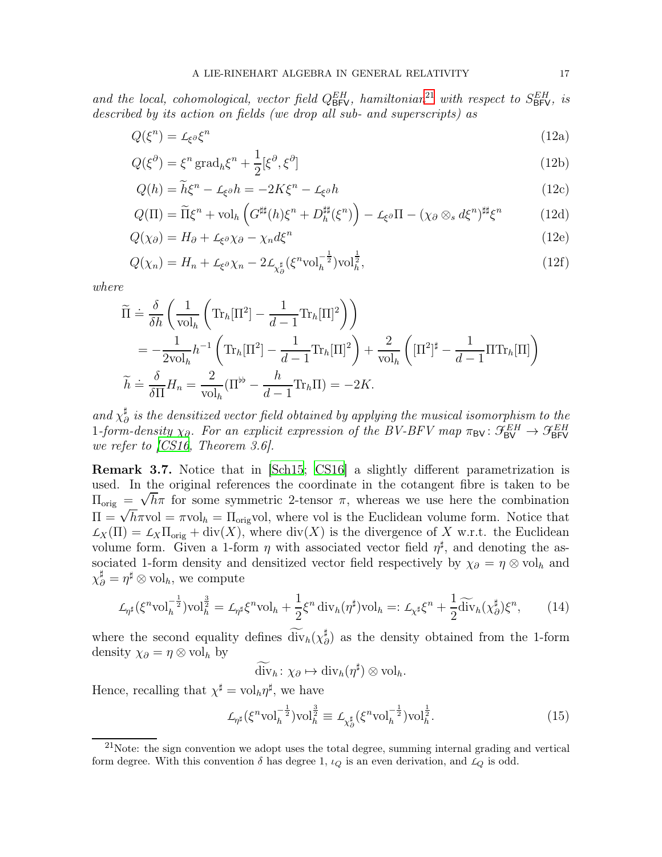and the local, cohomological, vector field  $Q_{\text{BFV}}^{EH}$ , hamiltonian<sup>[21](#page-16-0)</sup> with respect to  $S_{\text{BFV}}^{EH}$ , is described by its action on fields (we drop all sub- and superscripts) as

<span id="page-16-5"></span><span id="page-16-3"></span>
$$
Q(\xi^n) = \mathcal{L}_{\xi^{\partial}} \xi^n \tag{12a}
$$

$$
Q(\xi^{\partial}) = \xi^n \operatorname{grad}_h \xi^n + \frac{1}{2} [\xi^{\partial}, \xi^{\partial}]
$$
\n(12b)

<span id="page-16-9"></span><span id="page-16-7"></span><span id="page-16-6"></span><span id="page-16-4"></span>
$$
Q(h) = \tilde{h}\xi^{n} - L_{\xi}\delta h = -2K\xi^{n} - L_{\xi}\delta h
$$
\n(12c)

$$
Q(\Pi) = \widetilde{\Pi}\xi^{n} + \text{vol}_{h}\left(G^{\sharp\sharp}(h)\xi^{n} + D_{h}^{\sharp\sharp}(\xi^{n})\right) - \mathcal{L}_{\xi^{\partial}}\Pi - (\chi_{\partial} \otimes_{s} d\xi^{n})^{\sharp\sharp}\xi^{n}
$$
(12d)

$$
Q(\chi_{\partial}) = H_{\partial} + L_{\xi^{\partial}} \chi_{\partial} - \chi_n d\xi^n
$$
\n(12e)

<span id="page-16-8"></span>
$$
Q(\chi_n) = H_n + \mathcal{L}_{\xi^{\partial}} \chi_n - 2 \mathcal{L}_{\chi^{\sharp}_{\partial}} (\xi^n \text{vol}_h^{-\frac{1}{2}}) \text{vol}_h^{\frac{1}{2}},\tag{12f}
$$

where

<span id="page-16-11"></span>
$$
\widetilde{\Pi} \doteq \frac{\delta}{\delta h} \left( \frac{1}{\text{vol}_h} \left( \text{Tr}_h[\Pi^2] - \frac{1}{d-1} \text{Tr}_h[\Pi]^2 \right) \right) \n= -\frac{1}{2\text{vol}_h} h^{-1} \left( \text{Tr}_h[\Pi^2] - \frac{1}{d-1} \text{Tr}_h[\Pi]^2 \right) + \frac{2}{\text{vol}_h} \left( [\Pi^2]^{\sharp} - \frac{1}{d-1} \Pi \text{Tr}_h[\Pi] \right) \n\widetilde{h} \doteq \frac{\delta}{\delta \Pi} H_n = \frac{2}{\text{vol}_h} (\Pi^{\flat} - \frac{h}{d-1} \text{Tr}_h\Pi) = -2K.
$$

and  $\chi_{\ell}^{\sharp}$  $\frac{a}{\partial t}$  is the densitized vector field obtained by applying the musical isomorphism to the 1-form-density  $\chi_{\partial}$ . For an explicit expression of the BV-BFV map  $\pi_{BV} : \mathcal{F}_{BV}^{EH} \to \mathcal{F}_{BFV}^{EH}$ we refer to [\[CS16,](#page-31-1) Theorem 3.6].

<span id="page-16-10"></span>Remark 3.7. Notice that in [\[Sch15](#page-32-0); [CS16](#page-31-1)] a slightly different parametrization is used. In the original references the coordinate in the cotangent fibre is taken to be  $\Pi_{\text{orig}} = \sqrt{h} \pi$  for some symmetric 2-tensor  $\pi$ , whereas we use here the combination  $\Pi = \sqrt{h}\pi$ vol =  $\pi$ vol<sub>h</sub> =  $\Pi_{\text{orig}}$ vol, where vol is the Euclidean volume form. Notice that  $L_X(\Pi) = L_X \Pi_{\text{orig}} + \text{div}(X)$ , where  $\text{div}(X)$  is the divergence of X w.r.t. the Euclidean volume form. Given a 1-form  $\eta$  with associated vector field  $\eta^{\sharp}$ , and denoting the associated 1-form density and densitized vector field respectively by  $\chi_{\partial} = \eta \otimes \text{vol}_h$  and  $\chi_{\partial}^{\sharp} = \eta^{\sharp} \otimes \text{vol}_{h}$ , we compute

<span id="page-16-2"></span>
$$
\mathcal{L}_{\eta^{\sharp}}(\xi^{n} \text{vol}_{h}^{-\frac{1}{2}}) \text{vol}_{h}^{\frac{3}{2}} = \mathcal{L}_{\eta^{\sharp}} \xi^{n} \text{vol}_{h} + \frac{1}{2} \xi^{n} \operatorname{div}_{h}(\eta^{\sharp}) \text{vol}_{h} =: \mathcal{L}_{\chi^{\sharp}} \xi^{n} + \frac{1}{2} \widetilde{\operatorname{div}}_{h}(\chi_{\partial}^{\sharp}) \xi^{n}, \qquad (14)
$$

where the second equality defines  $\widetilde{\text{div}}_h(\chi^{\sharp}_{\hat{c}})$  $^{\sharp}_{\partial}$ ) as the density obtained from the 1-form density  $\chi_{\partial} = \eta \otimes \text{vol}_h$  by

$$
\widetilde{\mathrm{div}}_h \colon \chi_{\partial} \mapsto \mathrm{div}_h(\eta^{\sharp}) \otimes \mathrm{vol}_h.
$$

Hence, recalling that  $\chi^{\sharp} = \mathrm{vol}_h \eta^{\sharp}$ , we have

<span id="page-16-1"></span>
$$
\mathcal{L}_{\eta^{\sharp}}(\xi^n \text{vol}_h^{-\frac{1}{2}}) \text{vol}_h^{\frac{3}{2}} \equiv \mathcal{L}_{\chi_\partial^{\sharp}}(\xi^n \text{vol}_h^{-\frac{1}{2}}) \text{vol}_h^{\frac{1}{2}}.
$$
\n(15)

<span id="page-16-0"></span> $21$ Note: the sign convention we adopt uses the total degree, summing internal grading and vertical form degree. With this convention  $\delta$  has degree 1,  $\iota_Q$  is an even derivation, and  $\iota_Q$  is odd.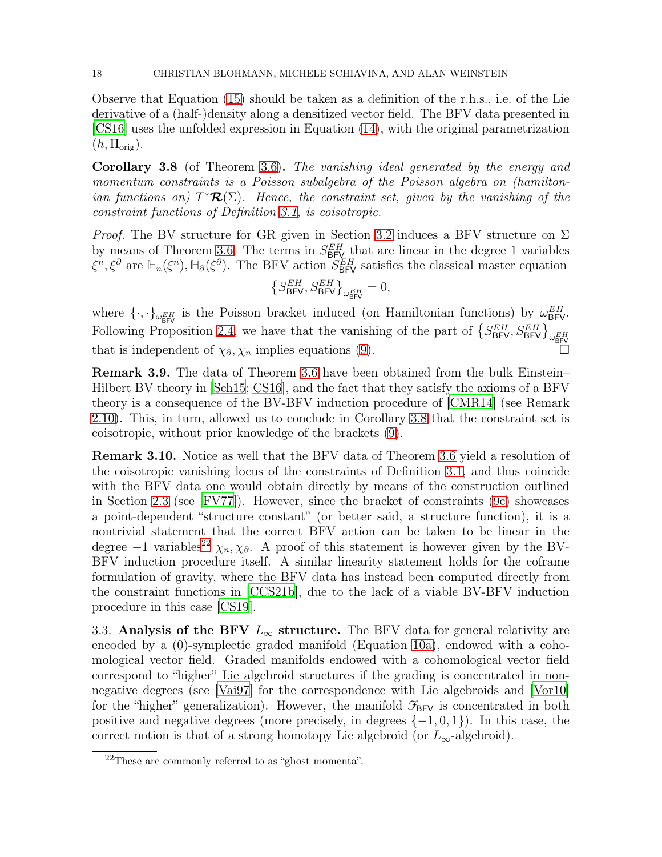Observe that Equation [\(15\)](#page-16-1) should be taken as a definition of the r.h.s., i.e. of the Lie derivative of a (half-)density along a densitized vector field. The BFV data presented in [\[CS16\]](#page-31-1) uses the unfolded expression in Equation [\(14\)](#page-16-2), with the original parametrization  $(h, \Pi_{\text{orig}}).$ 

<span id="page-17-1"></span>Corollary 3.8 (of Theorem [3.6\)](#page-15-0). The vanishing ideal generated by the energy and momentum constraints is a Poisson subalgebra of the Poisson algebra on (hamiltonian functions on)  $T^{\ast}\mathcal{R}(\Sigma)$ . Hence, the constraint set, given by the vanishing of the constraint functions of Definition [3.1,](#page-14-2) is coisotropic.

*Proof.* The BV structure for GR given in Section [3.2](#page-13-0) induces a BFV structure on  $\Sigma$ by means of Theorem [3.6.](#page-15-0) The terms in  $S_{BFV}^{EH}$  that are linear in the degree 1 variables  $\xi^n, \xi^{\partial}$  are  $\mathbb{H}_n(\xi^n)$ ,  $\mathbb{H}_{\partial}(\xi^{\partial})$ . The BFV action  $S_{\text{BFV}}^{EH}$  satisfies the classical master equation

$$
\left\{S_{\text{BFV}}^{EH}, S_{\text{BFV}}^{EH}\right\}_{\omega_{\text{BFV}}^{EH}} = 0,
$$

where  $\{\cdot,\cdot\}_{\omega_{\text{BFV}}^{EH}}$  is the Poisson bracket induced (on Hamiltonian functions) by  $\omega_{\text{BFV}}^{EH}$ . Following Proposition [2.4,](#page-8-3) we have that the vanishing of the part of  $\{S_{\text{BFV}}^{EH}, S_{\text{BFV}}^{EH}\}_{\omega_{\text{BFV}}^{EH}}$ that is independent of  $\chi_{\partial}, \chi_n$  implies equations [\(9\)](#page-14-3).

Remark 3.9. The data of Theorem [3.6](#page-15-0) have been obtained from the bulk Einstein– Hilbert BV theory in [\[Sch15](#page-32-0); [CS16\]](#page-31-1), and the fact that they satisfy the axioms of a BFV theory is a consequence of the BV-BFV induction procedure of [\[CMR14\]](#page-30-2) (see Remark [2.10\)](#page-11-3). This, in turn, allowed us to conclude in Corollary [3.8](#page-17-1) that the constraint set is coisotropic, without prior knowledge of the brackets [\(9\)](#page-14-3).

Remark 3.10. Notice as well that the BFV data of Theorem [3.6](#page-15-0) yield a resolution of the coisotropic vanishing locus of the constraints of Definition [3.1,](#page-14-2) and thus coincide with the BFV data one would obtain directly by means of the construction outlined in Section [2.3](#page-6-0) (see [\[FV77\]](#page-31-8)). However, since the bracket of constraints [\(9c\)](#page-14-1) showcases a point-dependent "structure constant" (or better said, a structure function), it is a nontrivial statement that the correct BFV action can be taken to be linear in the degree −1 variables<sup>[22](#page-17-2)</sup>  $\chi_n, \chi_\partial$ . A proof of this statement is however given by the BV-BFV induction procedure itself. A similar linearity statement holds for the coframe formulation of gravity, where the BFV data has instead been computed directly from the constraint functions in [\[CCS21b\]](#page-30-10), due to the lack of a viable BV-BFV induction procedure in this case [\[CS19](#page-31-9)].

<span id="page-17-0"></span>3.3. Analysis of the BFV  $L_{\infty}$  structure. The BFV data for general relativity are encoded by a (0)-symplectic graded manifold (Equation [10a\)](#page-15-1), endowed with a cohomological vector field. Graded manifolds endowed with a cohomological vector field correspond to "higher" Lie algebroid structures if the grading is concentrated in nonnegative degrees (see [\[Vai97\]](#page-32-11) for the correspondence with Lie algebroids and [\[Vor10\]](#page-33-1) for the "higher" generalization). However, the manifold  $\mathcal{F}_{BFV}$  is concentrated in both positive and negative degrees (more precisely, in degrees  $\{-1,0,1\}$ ). In this case, the correct notion is that of a strong homotopy Lie algebroid (or  $L_{\infty}$ -algebroid).

<span id="page-17-2"></span><sup>22</sup>These are commonly referred to as "ghost momenta".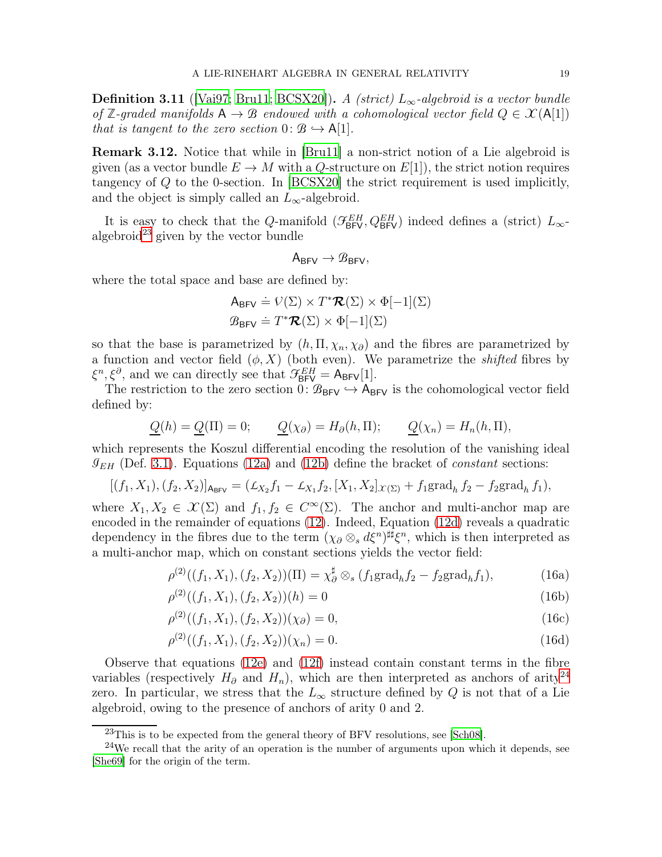**Definition 3.11** ([\[Vai97;](#page-32-11) [Bru11](#page-30-11); [BCSX20\]](#page-29-6)). A (strict)  $L_{\infty}$ -algebroid is a vector bundle of **Z**-graded manifolds  $A \rightarrow B$  endowed with a cohomological vector field  $Q \in \mathcal{X}(A[1])$ that is tangent to the zero section  $0: \mathcal{B} \hookrightarrow A[1]$ .

Remark 3.12. Notice that while in [\[Bru11](#page-30-11)] a non-strict notion of a Lie algebroid is given (as a vector bundle  $E \to M$  with a Q-structure on  $E[1]$ ), the strict notion requires tangency of Q to the 0-section. In [\[BCSX20](#page-29-6)] the strict requirement is used implicitly, and the object is simply called an  $L_{\infty}$ -algebroid.

It is easy to check that the Q-manifold  $(\mathcal{F}_{BFV}^{EH}, Q_{BFV}^{EH})$  indeed defines a (strict)  $L_{\infty}$ -algebroid<sup>[23](#page-18-0)</sup> given by the vector bundle

$$
A_{BFV}\rightarrow \mathcal{B}_{BFV},
$$

where the total space and base are defined by:

$$
A_{\text{BFV}} \doteq \mathcal{V}(\Sigma) \times T^* \mathcal{R}(\Sigma) \times \Phi[-1](\Sigma)
$$

$$
\mathcal{B}_{\text{BFV}} \doteq T^* \mathcal{R}(\Sigma) \times \Phi[-1](\Sigma)
$$

so that the base is parametrized by  $(h, \Pi, \chi_n, \chi_{\partial})$  and the fibres are parametrized by a function and vector field  $(\phi, X)$  (both even). We parametrize the *shifted* fibres by  $\xi^n, \xi^{\partial}$ , and we can directly see that  $\mathcal{F}_{BFV}^{EH} = A_{BFV}[1]$ .

The restriction to the zero section  $0: \mathcal{B}_{BFV} \hookrightarrow A_{BFV}$  is the cohomological vector field defined by:

$$
\underline{Q}(h) = \underline{Q}(\Pi) = 0; \qquad \underline{Q}(\chi_{\partial}) = H_{\partial}(h, \Pi); \qquad \underline{Q}(\chi_n) = H_n(h, \Pi),
$$

which represents the Koszul differential encoding the resolution of the vanishing ideal  $\mathcal{I}_{EH}$  (Def. [3.1\)](#page-14-2). Equations [\(12a\)](#page-16-3) and [\(12b\)](#page-16-4) define the bracket of *constant* sections:

$$
[(f_1, X_1), (f_2, X_2)]_{\mathsf{A}_{\mathsf{BFV}}} = (\mathcal{L}_{X_2} f_1 - \mathcal{L}_{X_1} f_2, [X_1, X_2]_{\mathcal{X}(\Sigma)} + f_1 \text{grad}_h f_2 - f_2 \text{grad}_h f_1),
$$

where  $X_1, X_2 \in \mathcal{X}(\Sigma)$  and  $f_1, f_2 \in C^{\infty}(\Sigma)$ . The anchor and multi-anchor map are encoded in the remainder of equations [\(12\)](#page-16-5). Indeed, Equation [\(12d\)](#page-16-6) reveals a quadratic dependency in the fibres due to the term  $(\chi_{\partial} \otimes_s d\xi^n)^{\sharp \sharp} \xi^n$ , which is then interpreted as a multi-anchor map, which on constant sections yields the vector field:

$$
\rho^{(2)}((f_1, X_1), (f_2, X_2))(\Pi) = \chi_{\partial}^{\sharp} \otimes_s (f_1 \text{grad}_h f_2 - f_2 \text{grad}_h f_1),\tag{16a}
$$

$$
\rho^{(2)}((f_1, X_1), (f_2, X_2))(h) = 0 \tag{16b}
$$

$$
\rho^{(2)}((f_1, X_1), (f_2, X_2))(\chi_{\partial}) = 0,\tag{16c}
$$

$$
\rho^{(2)}((f_1, X_1), (f_2, X_2))(\chi_n) = 0.
$$
\n(16d)

Observe that equations [\(12e\)](#page-16-7) and [\(12f\)](#page-16-8) instead contain constant terms in the fibre variables (respectively  $H_{\partial}$  and  $H_n$ ), which are then interpreted as anchors of arity<sup>[24](#page-18-1)</sup> zero. In particular, we stress that the  $L_{\infty}$  structure defined by Q is not that of a Lie algebroid, owing to the presence of anchors of arity 0 and 2.

<span id="page-18-0"></span><sup>&</sup>lt;sup>23</sup>This is to be expected from the general theory of BFV resolutions, see [\[Sch08](#page-32-4)].

<span id="page-18-1"></span><sup>&</sup>lt;sup>24</sup>We recall that the arity of an operation is the number of arguments upon which it depends, see [\[She69](#page-32-12)] for the origin of the term.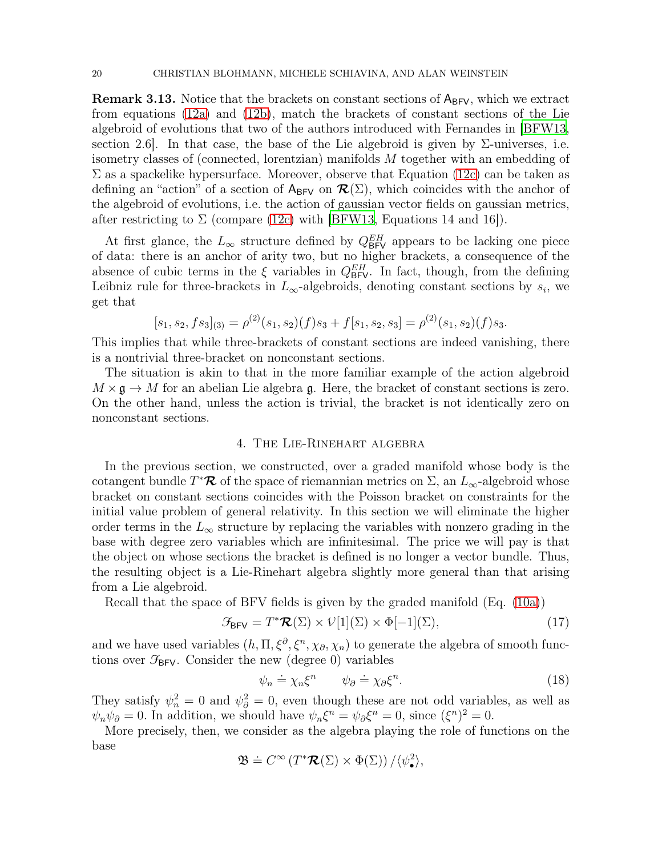<span id="page-19-1"></span>**Remark 3.13.** Notice that the brackets on constant sections of  $A_{BFV}$ , which we extract from equations [\(12a\)](#page-16-3) and [\(12b\)](#page-16-4), match the brackets of constant sections of the Lie algebroid of evolutions that two of the authors introduced with Fernandes in [\[BFW13,](#page-30-0) section 2.6. In that case, the base of the Lie algebroid is given by  $\Sigma$ -universes, i.e. isometry classes of (connected, lorentzian) manifolds M together with an embedding of  $\Sigma$  as a spackelike hypersurface. Moreover, observe that Equation [\(12c\)](#page-16-9) can be taken as defining an "action" of a section of  $A_{BFV}$  on  $\mathcal{R}(\Sigma)$ , which coincides with the anchor of the algebroid of evolutions, i.e. the action of gaussian vector fields on gaussian metrics, after restricting to  $\Sigma$  (compare [\(12c\)](#page-16-9) with [\[BFW13](#page-30-0), Equations 14 and 16]).

At first glance, the  $L_{\infty}$  structure defined by  $Q_{\text{BFV}}^{EH}$  appears to be lacking one piece of data: there is an anchor of arity two, but no higher brackets, a consequence of the absence of cubic terms in the  $\xi$  variables in  $Q_{\text{BFV}}^{EH}$ . In fact, though, from the defining Leibniz rule for three-brackets in  $L_{\infty}$ -algebroids, denoting constant sections by  $s_i$ , we get that

$$
[s_1, s_2, fs_3]_{(3)} = \rho^{(2)}(s_1, s_2)(f)s_3 + f[s_1, s_2, s_3] = \rho^{(2)}(s_1, s_2)(f)s_3.
$$

This implies that while three-brackets of constant sections are indeed vanishing, there is a nontrivial three-bracket on nonconstant sections.

The situation is akin to that in the more familiar example of the action algebroid  $M \times \mathfrak{g} \to M$  for an abelian Lie algebra g. Here, the bracket of constant sections is zero. On the other hand, unless the action is trivial, the bracket is not identically zero on nonconstant sections.

# 4. The Lie-Rinehart algebra

<span id="page-19-0"></span>In the previous section, we constructed, over a graded manifold whose body is the cotangent bundle  $T^{\ast}\mathcal{R}$  of the space of riemannian metrics on  $\Sigma$ , an  $L_{\infty}$ -algebroid whose bracket on constant sections coincides with the Poisson bracket on constraints for the initial value problem of general relativity. In this section we will eliminate the higher order terms in the  $L_{\infty}$  structure by replacing the variables with nonzero grading in the base with degree zero variables which are infinitesimal. The price we will pay is that the object on whose sections the bracket is defined is no longer a vector bundle. Thus, the resulting object is a Lie-Rinehart algebra slightly more general than that arising from a Lie algebroid.

Recall that the space of BFV fields is given by the graded manifold (Eq. [\(10a\)](#page-15-1))

$$
\mathcal{G}_{\text{BFV}} = T^* \mathcal{R}(\Sigma) \times V[1](\Sigma) \times \Phi[-1](\Sigma), \tag{17}
$$

and we have used variables  $(h, \Pi, \xi^{\partial}, \xi^n, \chi_{\partial}, \chi_n)$  to generate the algebra of smooth functions over  $\mathcal{F}_{BFV}$ . Consider the new (degree 0) variables

$$
\psi_n \doteq \chi_n \xi^n \qquad \psi_\partial \doteq \chi_\partial \xi^n. \tag{18}
$$

They satisfy  $\psi_n^2 = 0$  and  $\psi_\partial^2 = 0$ , even though these are not odd variables, as well as  $\psi_n \psi_\partial = 0$ . In addition, we should have  $\psi_n \xi^n = \psi_\partial \xi^n = 0$ , since  $(\xi^n)^2 = 0$ .

More precisely, then, we consider as the algebra playing the role of functions on the base

$$
\mathfrak{B} \doteq C^{\infty} \left( T^* \mathcal{R}(\Sigma) \times \Phi(\Sigma) \right) / \langle \psi_{\bullet}^2 \rangle,
$$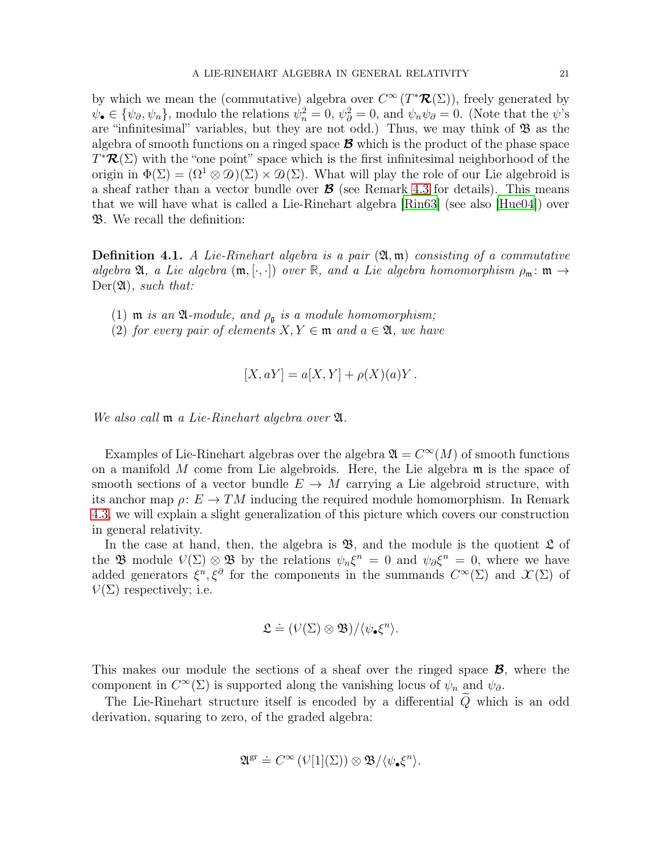by which we mean the (commutative) algebra over  $C^{\infty}(T^{\ast}\mathcal{R}(\Sigma))$ , freely generated by  $\psi_{\bullet} \in {\psi_{\partial}, \psi_n}$ , modulo the relations  $\psi_n^2 = 0$ ,  $\psi_{\partial}^2 = 0$ , and  $\psi_n \psi_{\partial} = 0$ . (Note that the  $\psi$ 's are "infinitesimal" variables, but they are not odd.) Thus, we may think of  $\mathfrak{B}$  as the algebra of smooth functions on a ringed space  $\mathcal{B}$  which is the product of the phase space  $T^{\ast}\mathcal{R}(\Sigma)$  with the "one point" space which is the first infinitesimal neighborhood of the origin in  $\Phi(\Sigma) = (\Omega^1 \otimes \mathcal{D})(\Sigma) \times \mathcal{D}(\Sigma)$ . What will play the role of our Lie algebroid is a sheaf rather than a vector bundle over  $\mathcal{B}$  (see Remark [4.3](#page-23-4) for details). This means that we will have what is called a Lie-Rinehart algebra [\[Rin63](#page-32-13)] (see also [\[Hue04](#page-31-10)]) over B. We recall the definition:

<span id="page-20-0"></span>**Definition 4.1.** A Lie-Rinehart algebra is a pair  $(\mathfrak{A}, \mathfrak{m})$  consisting of a commutative algebra  $\mathfrak{A},$  a Lie algebra  $(\mathfrak{m}, [\cdot, \cdot])$  over  $\mathbb{R},$  and a Lie algebra homomorphism  $\rho_{\mathfrak{m}} : \mathfrak{m} \to$  $Der(\mathfrak{A})$ , such that:

- (1)  $m$  is an  $\mathfrak{A}\text{-module}$ , and  $\rho_{\mathfrak{g}}$  is a module homomorphism;
- (2) for every pair of elements  $X, Y \in \mathfrak{m}$  and  $a \in \mathfrak{A}$ , we have

$$
[X, aY] = a[X, Y] + \rho(X)(a)Y.
$$

We also call **m** a Lie-Rinehart algebra over  $\mathfrak{A}$ .

Examples of Lie-Rinehart algebras over the algebra  $\mathfrak{A} = C^{\infty}(M)$  of smooth functions on a manifold  $M$  come from Lie algebroids. Here, the Lie algebra  $\mathfrak m$  is the space of smooth sections of a vector bundle  $E \to M$  carrying a Lie algebroid structure, with its anchor map  $\rho: E \to TM$  inducing the required module homomorphism. In Remark [4.3,](#page-23-4) we will explain a slight generalization of this picture which covers our construction in general relativity.

In the case at hand, then, the algebra is  $\mathfrak{B}$ , and the module is the quotient  $\mathfrak{L}$  of the **B** module  $V(\Sigma) \otimes \mathfrak{B}$  by the relations  $\psi_n \xi^n = 0$  and  $\psi_\partial \xi^n = 0$ , where we have added generators  $\xi^n, \xi^{\partial}$  for the components in the summands  $C^{\infty}(\Sigma)$  and  $\mathcal{X}(\Sigma)$  of  $V(\Sigma)$  respectively; i.e.

$$
\mathfrak{L} \doteq (\mathcal{V}(\Sigma) \otimes \mathfrak{B}) / \langle \psi_{\bullet} \xi^n \rangle.
$$

This makes our module the sections of a sheaf over the ringed space B, where the component in  $C^{\infty}(\Sigma)$  is supported along the vanishing locus of  $\psi_n$  and  $\psi_{\partial}$ .

The Lie-Rinehart structure itself is encoded by a differential  $\tilde{Q}$  which is an odd derivation, squaring to zero, of the graded algebra:

$$
\mathfrak{A}^{\text{gr}} \doteq C^{\infty} \left( \mathcal{V}[1](\Sigma) \right) \otimes \mathfrak{B} / \langle \psi_{\bullet} \xi^{n} \rangle.
$$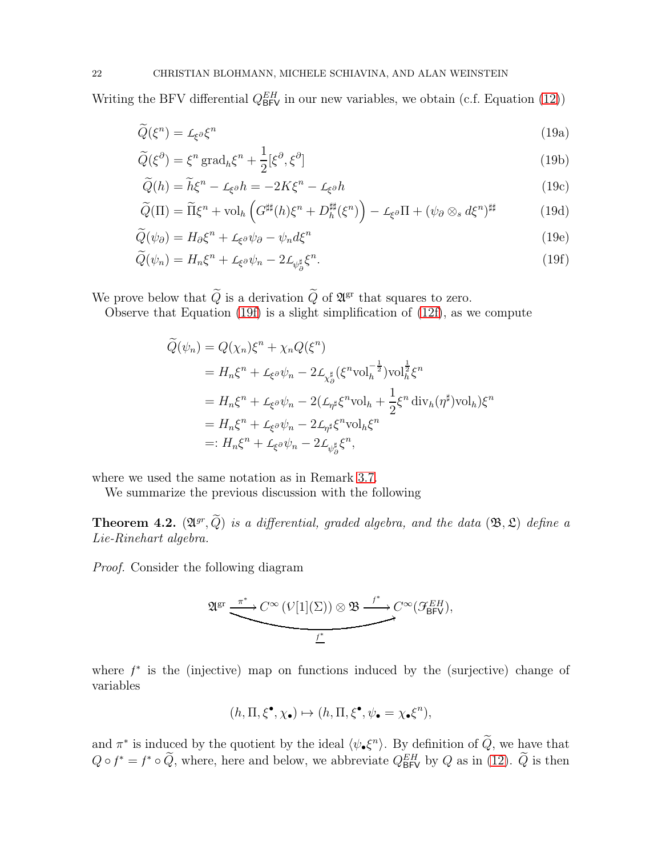Writing the BFV differential  $Q_{\text{BFV}}^{EH}$  in our new variables, we obtain (c.f. Equation [\(12\)](#page-16-5))

$$
\widetilde{Q}(\xi^n) = \mathcal{L}_{\xi^{\partial}} \xi^n \tag{19a}
$$

$$
\widetilde{Q}(\xi^{\partial}) = \xi^n \operatorname{grad}_h \xi^n + \frac{1}{2} [\xi^{\partial}, \xi^{\partial}]
$$
\n(19b)

$$
\widetilde{Q}(h) = \widetilde{h}\xi^n - \mathcal{L}_{\xi^{\partial}}h = -2K\xi^n - \mathcal{L}_{\xi^{\partial}}h\tag{19c}
$$

$$
\widetilde{Q}(\Pi) = \widetilde{\Pi}\xi^{n} + \text{vol}_{h}\left(G^{\sharp\sharp}(h)\xi^{n} + D_{h}^{\sharp\sharp}(\xi^{n})\right) - \mathcal{L}_{\xi}\partial\Pi + (\psi_{\partial}\otimes_{s}d\xi^{n})^{\sharp\sharp} \tag{19d}
$$

$$
\widetilde{Q}(\psi_{\partial}) = H_{\partial} \xi^{n} + L_{\xi^{\partial}} \psi_{\partial} - \psi_{n} d\xi^{n}
$$
\n(19e)

$$
\widetilde{Q}(\psi_n) = H_n \xi^n + \mathcal{L}_{\xi^\partial} \psi_n - 2 \mathcal{L}_{\psi_\partial^{\sharp}} \xi^n. \tag{19f}
$$

We prove below that  $Q$  is a derivation  $Q$  of  $\mathfrak{A}^{\mathrm{gr}}$  that squares to zero.

Observe that Equation [\(19f\)](#page-21-0) is a slight simplification of  $(12f)$ , as we compute

<span id="page-21-1"></span><span id="page-21-0"></span>
$$
\begin{split}\n\widetilde{Q}(\psi_n) &= Q(\chi_n)\xi^n + \chi_n Q(\xi^n) \\
&= H_n\xi^n + \mathcal{L}_{\xi^\partial}\psi_n - 2\mathcal{L}_{\chi_\partial^\sharp}(\xi^n \text{vol}_h^{-\frac{1}{2}}) \text{vol}_h^{\frac{1}{2}}\xi^n \\
&= H_n\xi^n + \mathcal{L}_{\xi^\partial}\psi_n - 2(\mathcal{L}_{\eta^\sharp}\xi^n \text{vol}_h + \frac{1}{2}\xi^n \operatorname{div}_h(\eta^\sharp) \text{vol}_h)\xi^n \\
&= H_n\xi^n + \mathcal{L}_{\xi^\partial}\psi_n - 2\mathcal{L}_{\eta^\sharp}\xi^n \text{vol}_h\xi^n \\
&=: H_n\xi^n + \mathcal{L}_{\xi^\partial}\psi_n - 2\mathcal{L}_{\psi_\partial^\sharp}\xi^n,\n\end{split}
$$

where we used the same notation as in Remark [3.7.](#page-16-10)

We summarize the previous discussion with the following

**Theorem 4.2.**  $(\mathfrak{A}^{gr}, Q)$  is a differential, graded algebra, and the data  $(\mathfrak{B}, \mathfrak{L})$  define a Lie-Rinehart algebra.

Proof. Consider the following diagram

$$
\mathfrak{A}^{\operatorname{gr}} \xrightarrow{\pi^*} C^{\infty} \xrightarrow{(\mathcal{V}[1](\Sigma)) \otimes \mathfrak{B} \xrightarrow{f^*} C^{\infty}(\mathcal{F}_{\mathsf{BFV}}^{EH}),}
$$

where  $f^*$  is the (injective) map on functions induced by the (surjective) change of variables

$$
(h,\Pi,\xi^{\bullet},\chi_{\bullet})\mapsto (h,\Pi,\xi^{\bullet},\psi_{\bullet}=\chi_{\bullet}\xi^{n}),
$$

and  $\pi^*$  is induced by the quotient by the ideal  $\langle \psi_{\bullet} \xi^n \rangle$ . By definition of  $\tilde{Q}$ , we have that  $Q \circ f^* = f^* \circ \tilde{Q}$ , where, here and below, we abbreviate  $Q_{\text{BFV}}^{EH}$  by  $Q$  as in [\(12\)](#page-16-5).  $\tilde{Q}$  is then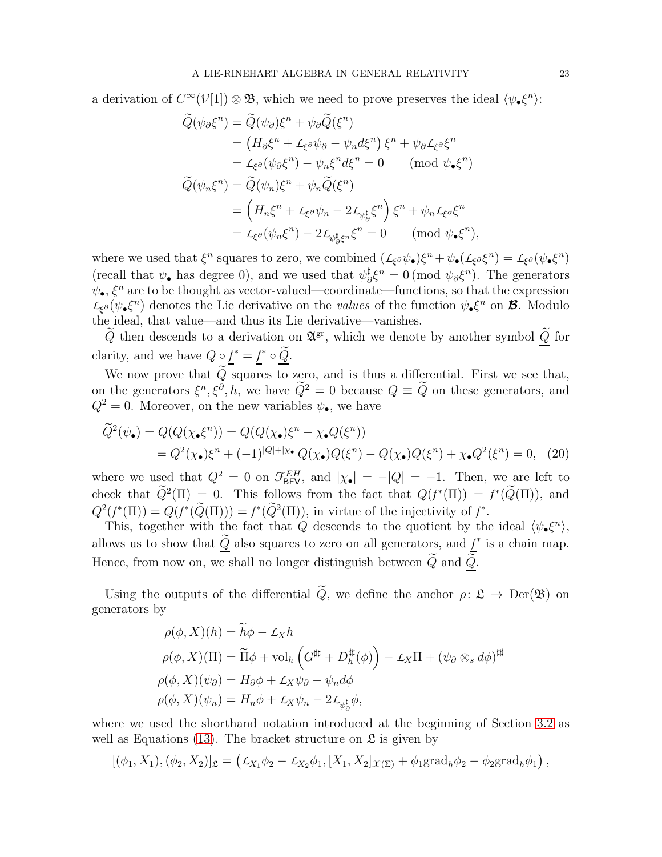a derivation of  $C^{\infty}(\mathcal{V}[1]) \otimes \mathfrak{B}$ , which we need to prove preserves the ideal  $\langle \psi_{\bullet} \xi^n \rangle$ :

$$
\begin{split}\n\widetilde{Q}(\psi_{\partial}\xi^{n}) &= \widetilde{Q}(\psi_{\partial})\xi^{n} + \psi_{\partial}\widetilde{Q}(\xi^{n}) \\
&= \left(H_{\partial}\xi^{n} + \mathcal{L}_{\xi^{\partial}}\psi_{\partial} - \psi_{n}d\xi^{n}\right)\xi^{n} + \psi_{\partial}\mathcal{L}_{\xi^{\partial}}\xi^{n} \\
&= \mathcal{L}_{\xi^{\partial}}(\psi_{\partial}\xi^{n}) - \psi_{n}\xi^{n}d\xi^{n} = 0 \qquad (\text{mod } \psi_{\bullet}\xi^{n}) \\
\widetilde{Q}(\psi_{n}\xi^{n}) &= \widetilde{Q}(\psi_{n})\xi^{n} + \psi_{n}\widetilde{Q}(\xi^{n}) \\
&= \left(H_{n}\xi^{n} + \mathcal{L}_{\xi^{\partial}}\psi_{n} - 2\mathcal{L}_{\psi_{\partial}^{\sharp}}\xi^{n}\right)\xi^{n} + \psi_{n}\mathcal{L}_{\xi^{\partial}}\xi^{n} \\
&= \mathcal{L}_{\xi^{\partial}}(\psi_{n}\xi^{n}) - 2\mathcal{L}_{\psi_{\partial}^{\sharp}\xi^{n}}\xi^{n} = 0 \qquad (\text{mod } \psi_{\bullet}\xi^{n}),\n\end{split}
$$

where we used that  $\xi^n$  squares to zero, we combined  $(L_{\xi^{\partial}}\psi_{\bullet})\xi^n + \psi_{\bullet}(L_{\xi^{\partial}}\xi^n) = L_{\xi^{\partial}}(\psi_{\bullet}\xi^n)$ (recall that  $\psi_{\bullet}$  has degree 0), and we used that  $\psi_{\delta}^{\sharp}$  $\frac{\sharp}{\partial \xi^n} = 0 \pmod{\psi_{\partial \xi^n}}$ . The generators  $\psi_{\bullet}$ ,  $\xi^{n}$  are to be thought as vector-valued—coordinate—functions, so that the expression  $L_{\xi^{\partial}}(\psi_{\bullet}\xi^{n})$  denotes the Lie derivative on the *values* of the function  $\psi_{\bullet}\xi^{n}$  on **B**. Modulo the ideal, that value—and thus its Lie derivative—vanishes.

 $\tilde{Q}$  then descends to a derivation on  $\mathfrak{A}^{gr}$ , which we denote by another symbol  $\underline{\tilde{Q}}$  for clarity, and we have  $Q \circ f^* = f^* \circ \tilde{Q}$ .

We now prove that  $\tilde{Q}$  squares to zero, and is thus a differential. First we see that, on the generators  $\xi^n, \xi^{\partial}, h$ , we have  $Q^2 = 0$  because  $Q \equiv Q$  on these generators, and  $Q^2 = 0$ . Moreover, on the new variables  $\psi_{\bullet}$ , we have

$$
\widetilde{Q}^2(\psi_\bullet) = Q(Q(\chi_\bullet \xi^n)) = Q(Q(\chi_\bullet) \xi^n - \chi_\bullet Q(\xi^n))
$$
  
=  $Q^2(\chi_\bullet) \xi^n + (-1)^{|Q|+|\chi_\bullet|} Q(\chi_\bullet) Q(\xi^n) - Q(\chi_\bullet) Q(\xi^n) + \chi_\bullet Q^2(\xi^n) = 0,$  (20)

where we used that  $Q^2 = 0$  on  $\mathcal{F}_{BFV}^{EH}$ , and  $|\chi_{\bullet}| = -|Q| = -1$ . Then, we are left to check that  $Q^2(\Pi) = 0$ . This follows from the fact that  $Q(f^*(\Pi)) = f^*(Q(\Pi))$ , and  $Q^2(f^*(\Pi)) = Q(f^*(Q(\Pi))) = f^*(Q^2(\Pi))$ , in virtue of the injectivity of  $f^*$ .

This, together with the fact that Q descends to the quotient by the ideal  $\langle \psi_{\bullet} \xi^n \rangle$ , allows us to show that  $\tilde{Q}$  also squares to zero on all generators, and  $f^*$  is a chain map. Hence, from now on, we shall no longer distinguish between  $\tilde{Q}$  and  $\tilde{Q}$ .

Using the outputs of the differential  $\tilde{Q}$ , we define the anchor  $\rho: \mathfrak{L} \to \mathrm{Der}(\mathfrak{B})$  on generators by

$$
\rho(\phi, X)(h) = \widetilde{h}\phi - \mathcal{L}_X h
$$
  
\n
$$
\rho(\phi, X)(\Pi) = \widetilde{\Pi}\phi + \text{vol}_h \left( G^{\sharp\sharp} + D_h^{\sharp\sharp}(\phi) \right) - \mathcal{L}_X \Pi + (\psi_\partial \otimes_s d\phi)^{\sharp\sharp}
$$
  
\n
$$
\rho(\phi, X)(\psi_\partial) = H_\partial \phi + \mathcal{L}_X \psi_\partial - \psi_n d\phi
$$
  
\n
$$
\rho(\phi, X)(\psi_n) = H_n \phi + \mathcal{L}_X \psi_n - 2\mathcal{L}_{\psi_\partial^{\sharp}} \phi,
$$

where we used the shorthand notation introduced at the beginning of Section [3.2](#page-13-0) as well as Equations [\(13\)](#page-16-11). The bracket structure on  $\mathfrak{L}$  is given by

$$
[(\phi_1, X_1), (\phi_2, X_2)]_{\mathfrak{L}} = (\mathcal{L}_{X_1}\phi_2 - \mathcal{L}_{X_2}\phi_1, [X_1, X_2]_{X(\Sigma)} + \phi_1 \text{grad}_h \phi_2 - \phi_2 \text{grad}_h \phi_1),
$$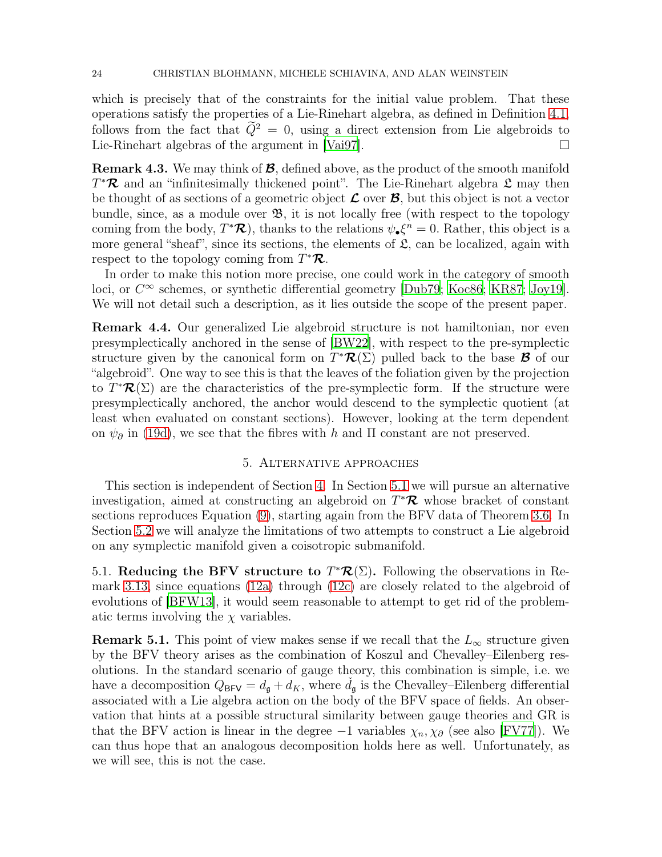which is precisely that of the constraints for the initial value problem. That these operations satisfy the properties of a Lie-Rinehart algebra, as defined in Definition [4.1,](#page-20-0) follows from the fact that  $\tilde{Q}^2 = 0$ , using a direct extension from Lie algebroids to Lie-Rinehart algebras of the argument in [Vai97]. Lie-Rinehart algebras of the argument in [\[Vai97\]](#page-32-11).

<span id="page-23-4"></span>**Remark 4.3.** We may think of  $\mathcal{B}$ , defined above, as the product of the smooth manifold  $T^*\mathcal{R}$  and an "infinitesimally thickened point". The Lie-Rinehart algebra  $\mathfrak{L}$  may then be thought of as sections of a geometric object  $\mathcal L$  over  $\mathcal B$ , but this object is not a vector bundle, since, as a module over  $\mathfrak{B}$ , it is not locally free (with respect to the topology coming from the body,  $T^*\mathcal{R}$ ), thanks to the relations  $\psi_{\bullet}\xi^n = 0$ . Rather, this object is a more general "sheaf", since its sections, the elements of  $\mathfrak{L}$ , can be localized, again with respect to the topology coming from  $T^*\mathcal{R}$ .

In order to make this notion more precise, one could work in the category of smooth loci, or  $C^{\infty}$  schemes, or synthetic differential geometry [\[Dub79](#page-31-11); [Koc86;](#page-32-14) [KR87;](#page-32-15) [Joy19](#page-31-12)]. We will not detail such a description, as it lies outside the scope of the present paper.

<span id="page-23-2"></span>Remark 4.4. Our generalized Lie algebroid structure is not hamiltonian, nor even presymplectically anchored in the sense of [\[BW22\]](#page-30-1), with respect to the pre-symplectic structure given by the canonical form on  $T^{\ast}R(\Sigma)$  pulled back to the base **B** of our "algebroid". One way to see this is that the leaves of the foliation given by the projection to  $T^{\ast}R(\Sigma)$  are the characteristics of the pre-symplectic form. If the structure were presymplectically anchored, the anchor would descend to the symplectic quotient (at least when evaluated on constant sections). However, looking at the term dependent on  $\psi_{\partial}$  in [\(19d\)](#page-21-1), we see that the fibres with h and  $\Pi$  constant are not preserved.

# 5. Alternative approaches

<span id="page-23-0"></span>This section is independent of Section [4.](#page-19-0) In Section [5.1](#page-23-1) we will pursue an alternative investigation, aimed at constructing an algebroid on  $T^{\ast}\mathcal{R}$  whose bracket of constant sections reproduces Equation [\(9\)](#page-14-3), starting again from the BFV data of Theorem [3.6.](#page-15-0) In Section [5.2](#page-26-0) we will analyze the limitations of two attempts to construct a Lie algebroid on any symplectic manifold given a coisotropic submanifold.

<span id="page-23-1"></span>5.1. Reducing the BFV structure to  $T^{\ast}\mathcal{R}(\Sigma)$ . Following the observations in Remark [3.13,](#page-19-1) since equations [\(12a\)](#page-16-3) through [\(12c\)](#page-16-9) are closely related to the algebroid of evolutions of [\[BFW13](#page-30-0)], it would seem reasonable to attempt to get rid of the problematic terms involving the  $\chi$  variables.

<span id="page-23-3"></span>**Remark 5.1.** This point of view makes sense if we recall that the  $L_{\infty}$  structure given by the BFV theory arises as the combination of Koszul and Chevalley–Eilenberg resolutions. In the standard scenario of gauge theory, this combination is simple, i.e. we have a decomposition  $Q_{\text{BFV}} = d_{\text{g}} + d_K$ , where  $d_{\text{g}}$  is the Chevalley–Eilenberg differential associated with a Lie algebra action on the body of the BFV space of fields. An observation that hints at a possible structural similarity between gauge theories and GR is that the BFV action is linear in the degree  $-1$  variables  $\chi_n, \chi_{\partial}$  (see also [\[FV77\]](#page-31-8)). We can thus hope that an analogous decomposition holds here as well. Unfortunately, as we will see, this is not the case.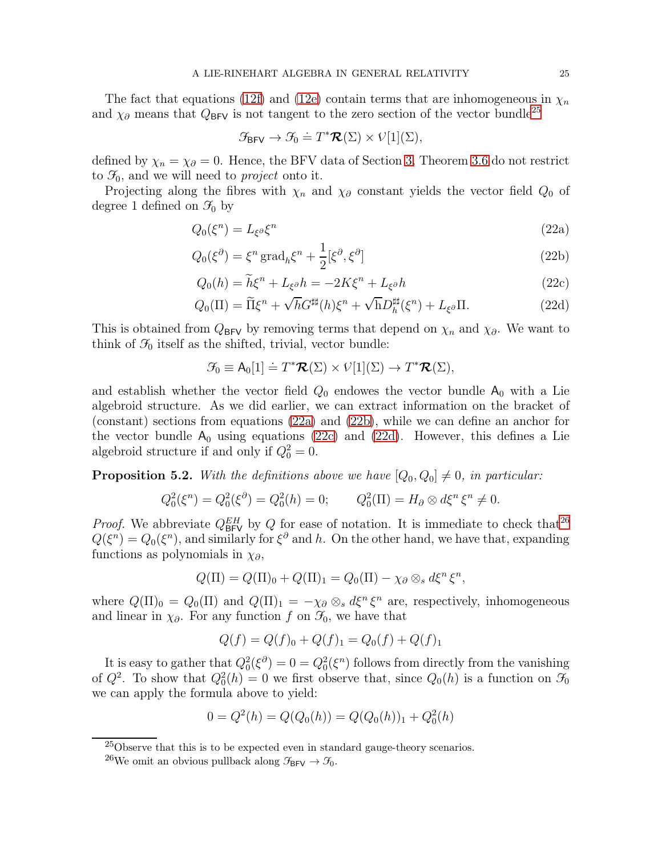The fact that equations [\(12f\)](#page-16-8) and [\(12e\)](#page-16-7) contain terms that are inhomogeneous in  $\chi_n$ and  $\chi_{\partial}$  means that  $Q_{\text{BFV}}$  is not tangent to the zero section of the vector bundle<sup>[25](#page-24-0)</sup>

<span id="page-24-3"></span><span id="page-24-2"></span><span id="page-24-1"></span>
$$
\mathcal{F}_{\text{BFV}} \to \mathcal{F}_0 \doteq T^*\mathcal{R}(\Sigma) \times V[1](\Sigma),
$$

defined by  $\chi_n = \chi_\partial = 0$ . Hence, the BFV data of Section [3,](#page-11-0) Theorem [3.6](#page-15-0) do not restrict to  $\mathcal{F}_0$ , and we will need to *project* onto it.

Projecting along the fibres with  $\chi_n$  and  $\chi_\partial$  constant yields the vector field  $Q_0$  of degree 1 defined on  $\mathcal{F}_0$  by

$$
Q_0(\xi^n) = L_{\xi^{\partial}} \xi^n \tag{22a}
$$

$$
Q_0(\xi^{\partial}) = \xi^n \operatorname{grad}_h \xi^n + \frac{1}{2} [\xi^{\partial}, \xi^{\partial}]
$$
\n(22b)

$$
Q_0(h) = \tilde{h}\xi^n + L_{\xi}\delta h = -2K\xi^n + L_{\xi}\delta h
$$
\n(22c)

$$
Q_0(\Pi) = \widetilde{\Pi}\xi^n + \sqrt{h}G^{\sharp\sharp}(h)\xi^n + \sqrt{h}D_h^{\sharp\sharp}(\xi^n) + L_{\xi^\partial}\Pi.
$$
 (22d)

This is obtained from  $Q_{BFV}$  by removing terms that depend on  $\chi_n$  and  $\chi_{\partial}$ . We want to think of  $\mathcal{F}_0$  itself as the shifted, trivial, vector bundle:

<span id="page-24-4"></span>
$$
\mathcal{F}_0 \equiv \mathsf{A}_0[1] \doteq T^* \mathcal{R}(\Sigma) \times V[1](\Sigma) \to T^* \mathcal{R}(\Sigma),
$$

and establish whether the vector field  $Q_0$  endowes the vector bundle  $A_0$  with a Lie algebroid structure. As we did earlier, we can extract information on the bracket of (constant) sections from equations [\(22a\)](#page-24-1) and [\(22b\)](#page-24-2), while we can define an anchor for the vector bundle  $A_0$  using equations [\(22c\)](#page-24-3) and [\(22d\)](#page-24-4). However, this defines a Lie algebroid structure if and only if  $Q_0^2 = 0$ .

<span id="page-24-6"></span>**Proposition 5.2.** With the definitions above we have  $[Q_0, Q_0] \neq 0$ , in particular:

$$
Q_0^2(\xi^n) = Q_0^2(\xi^{\partial}) = Q_0^2(h) = 0;
$$
  $Q_0^2(\Pi) = H_\partial \otimes d\xi^n \xi^n \neq 0.$ 

*Proof.* We abbreviate  $Q_{BFV}^{EH}$  by Q for ease of notation. It is immediate to check that<sup>[26](#page-24-5)</sup>  $Q(\xi^n) = Q_0(\xi^n)$ , and similarly for  $\xi^{\partial}$  and h. On the other hand, we have that, expanding functions as polynomials in  $\chi_{\partial}$ ,

$$
Q(\Pi) = Q(\Pi)_0 + Q(\Pi)_1 = Q_0(\Pi) - \chi_{\partial} \otimes_s d\xi^n \xi^n,
$$

where  $Q(\Pi)_0 = Q_0(\Pi)$  and  $Q(\Pi)_1 = -\chi_{\partial} \otimes_s d\xi^n \xi^n$  are, respectively, inhomogeneous and linear in  $\chi_{\partial}$ . For any function f on  $\mathcal{F}_0$ , we have that

$$
Q(f) = Q(f)_0 + Q(f)_1 = Q_0(f) + Q(f)_1
$$

It is easy to gather that  $Q_0^2(\xi^{\partial}) = 0 = Q_0^2(\xi^n)$  follows from directly from the vanishing of  $Q^2$ . To show that  $Q_0^2(h) = 0$  we first observe that, since  $Q_0(h)$  is a function on  $\mathcal{F}_0$ we can apply the formula above to yield:

$$
0 = Q2(h) = Q(Q0(h)) = Q(Q0(h))1 + Q02(h)
$$

 $^{25}$ Observe that this is to be expected even in standard gauge-theory scenarios.

<span id="page-24-5"></span><span id="page-24-0"></span><sup>&</sup>lt;sup>26</sup>We omit an obvious pullback along  $\mathcal{F}_{BFV} \rightarrow \mathcal{F}_{0}$ .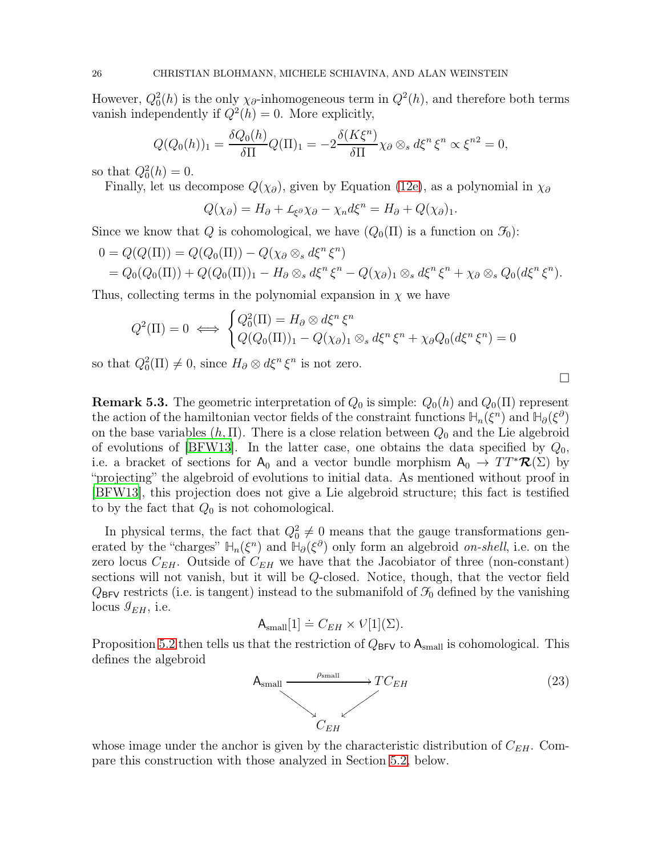However,  $Q_0^2(h)$  is the only  $\chi_{\partial}$ -inhomogeneous term in  $Q^2(h)$ , and therefore both terms vanish independently if  $Q^2(h) = 0$ . More explicitly,

$$
Q(Q_0(h))_1 = \frac{\delta Q_0(h)}{\delta \Pi} Q(\Pi)_1 = -2 \frac{\delta(K\xi^n)}{\delta \Pi} \chi_\partial \otimes_s d\xi^n \xi^n \propto \xi^{n2} = 0,
$$

so that  $Q_0^2(h) = 0$ .

Finally, let us decompose  $Q(\chi_{\partial})$ , given by Equation [\(12e\)](#page-16-7), as a polynomial in  $\chi_{\partial}$ 

$$
Q(\chi_{\partial}) = H_{\partial} + L_{\xi^{\partial}} \chi_{\partial} - \chi_n d\xi^n = H_{\partial} + Q(\chi_{\partial})_1.
$$

Since we know that Q is cohomological, we have  $(Q_0(\Pi))$  is a function on  $\mathcal{F}_0$ :

$$
0 = Q(Q(\Pi)) = Q(Q_0(\Pi)) - Q(\chi_{\partial} \otimes_s d\xi^n \xi^n)
$$
  
=  $Q_0(Q_0(\Pi)) + Q(Q_0(\Pi))_1 - H_{\partial} \otimes_s d\xi^n \xi^n - Q(\chi_{\partial})_1 \otimes_s d\xi^n \xi^n + \chi_{\partial} \otimes_s Q_0(d\xi^n \xi^n).$ 

Thus, collecting terms in the polynomial expansion in  $\chi$  we have

$$
Q^2(\Pi) = 0 \iff \begin{cases} Q_0^2(\Pi) = H_\partial \otimes d\xi^n \xi^n \\ Q(Q_0(\Pi))_1 - Q(\chi_\partial)_1 \otimes_s d\xi^n \xi^n + \chi_\partial Q_0(d\xi^n \xi^n) = 0 \end{cases}
$$

so that  $Q_0^2(\Pi) \neq 0$ , since  $H_\partial \otimes d\xi^n \xi^n$  is not zero.

**Remark 5.3.** The geometric interpretation of  $Q_0$  is simple:  $Q_0(h)$  and  $Q_0(\Pi)$  represent the action of the hamiltonian vector fields of the constraint functions  $H_n(\xi^n)$  and  $H_\partial(\xi^\partial)$ on the base variables  $(h, \Pi)$ . There is a close relation between  $Q_0$  and the Lie algebroid of evolutions of [\[BFW13\]](#page-30-0). In the latter case, one obtains the data specified by  $Q_0$ , i.e. a bracket of sections for  $A_0$  and a vector bundle morphism  $A_0 \to TT^* \mathcal{R}(\Sigma)$  by "projecting" the algebroid of evolutions to initial data. As mentioned without proof in [\[BFW13\]](#page-30-0), this projection does not give a Lie algebroid structure; this fact is testified to by the fact that  $Q_0$  is not cohomological.

In physical terms, the fact that  $Q_0^2 \neq 0$  means that the gauge transformations generated by the "charges"  $\mathbb{H}_n(\xi^n)$  and  $\mathbb{H}_\partial(\xi^\partial)$  only form an algebroid *on-shell*, i.e. on the zero locus  $C_{EH}$ . Outside of  $C_{EH}$  we have that the Jacobiator of three (non-constant) sections will not vanish, but it will be Q-closed. Notice, though, that the vector field  $Q_{BFV}$  restricts (i.e. is tangent) instead to the submanifold of  $\mathcal{F}_0$  defined by the vanishing locus  $\mathcal{G}_{EH}$ , i.e.

$$
\mathsf{A}_{\text{small}}[1] \doteq C_{EH} \times \mathcal{V}[1](\Sigma).
$$

Proposition [5.2](#page-24-6) then tells us that the restriction of  $Q_{BFV}$  to  $A_{small}$  is cohomological. This defines the algebroid



whose image under the anchor is given by the characteristic distribution of  $C_{EH}$ . Compare this construction with those analyzed in Section [5.2,](#page-26-0) below.

 $\Box$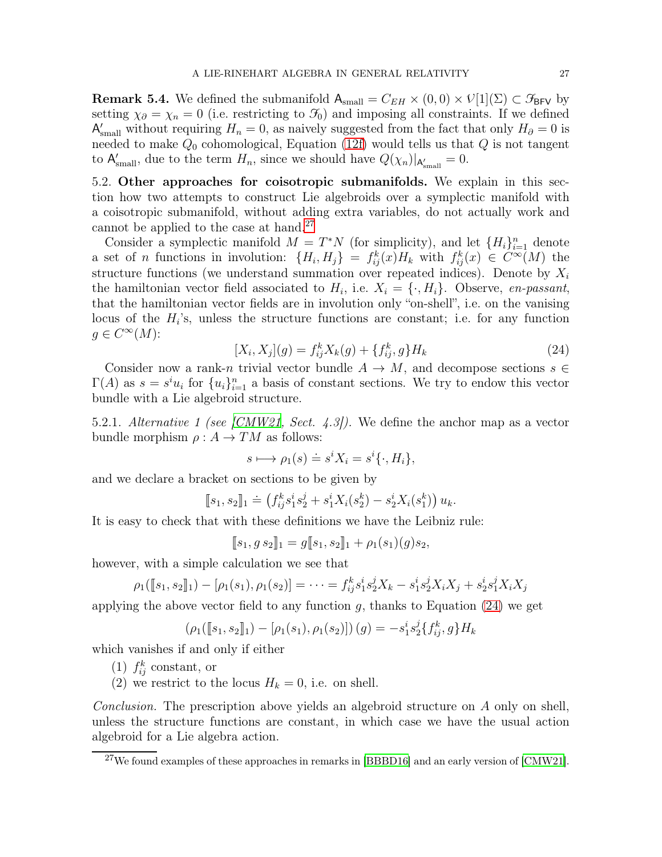**Remark 5.4.** We defined the submanifold  $A_{\text{small}} = C_{EH} \times (0,0) \times V[1](\Sigma) \subset \mathcal{F}_{BFV}$  by setting  $\chi_{\partial} = \chi_n = 0$  (i.e. restricting to  $\mathcal{F}_0$ ) and imposing all constraints. If we defined  $A'_{small}$  without requiring  $H_n = 0$ , as naively suggested from the fact that only  $H_{\partial} = 0$  is needed to make  $Q_0$  cohomological, Equation [\(12f\)](#page-16-8) would tells us that  $Q$  is not tangent to  $\mathsf{A}'_{\text{small}}$ , due to the term  $H_n$ , since we should have  $Q(\chi_n)|_{\mathsf{A}'_{\text{small}}} = 0$ .

<span id="page-26-0"></span>5.2. Other approaches for coisotropic submanifolds. We explain in this section how two attempts to construct Lie algebroids over a symplectic manifold with a coisotropic submanifold, without adding extra variables, do not actually work and cannot be applied to the case at hand.<sup>[27](#page-26-1)</sup>

Consider a symplectic manifold  $M = T^*N$  (for simplicity), and let  $\{H_i\}_{i=1}^n$  denote a set of *n* functions in involution:  $\{H_i, H_j\} = f_{ij}^k(x)H_k$  with  $f_{ij}^k(x) \in C^{\infty}(M)$  the structure functions (we understand summation over repeated indices). Denote by  $X_i$ the hamiltonian vector field associated to  $H_i$ , i.e.  $X_i = \{\cdot, H_i\}$ . Observe, en-passant, that the hamiltonian vector fields are in involution only "on-shell", i.e. on the vanising locus of the  $H_i$ 's, unless the structure functions are constant; i.e. for any function  $g \in C^{\infty}(M)$ :

<span id="page-26-2"></span>
$$
[X_i, X_j](g) = f_{ij}^k X_k(g) + \{f_{ij}^k, g\} H_k
$$
\n(24)

Consider now a rank-n trivial vector bundle  $A \to M$ , and decompose sections  $s \in$  $\Gamma(A)$  as  $s = s^i u_i$  for  $\{u_i\}_{i=1}^n$  a basis of constant sections. We try to endow this vector bundle with a Lie algebroid structure.

5.2.1. Alternative 1 (see [\[CMW21,](#page-31-13) Sect. 4.3]). We define the anchor map as a vector bundle morphism  $\rho: A \to TM$  as follows:

$$
s \longmapsto \rho_1(s) \doteq s^i X_i = s^i \{\cdot, H_i\},\
$$

and we declare a bracket on sections to be given by

$$
[\![s_1, s_2]\!]_1 \doteq \left( f_{ij}^k s_1^i s_2^j + s_1^i X_i(s_2^k) - s_2^i X_i(s_1^k) \right) u_k.
$$

It is easy to check that with these definitions we have the Leibniz rule:

$$
[\![s_1, g s_2]\!]_1 = g[\![s_1, s_2]\!]_1 + \rho_1(s_1)(g)s_2,
$$

however, with a simple calculation we see that

$$
\rho_1([\![s_1,s_2]\!]) - [\rho_1(s_1),\rho_1(s_2)] = \cdots = f_{ij}^k s_1^i s_2^j X_k - s_1^i s_2^j X_i X_j + s_2^i s_1^j X_i X_j
$$

applying the above vector field to any function  $q$ , thanks to Equation [\(24\)](#page-26-2) we get

$$
(\rho_1([\![s_1,s_2]\!]) - [\rho_1(s_1), \rho_1(s_2)]) (g) = -s_1^i s_2^j \{f_{ij}^k, g\} H_k
$$

which vanishes if and only if either

- (1)  $f_{ij}^k$  constant, or
- (2) we restrict to the locus  $H_k = 0$ , i.e. on shell.

Conclusion. The prescription above yields an algebroid structure on A only on shell, unless the structure functions are constant, in which case we have the usual action algebroid for a Lie algebra action.

<span id="page-26-1"></span> $27$ We found examples of these approaches in remarks in [\[BBBD16\]](#page-30-12) and an early version of [\[CMW21\]](#page-31-13).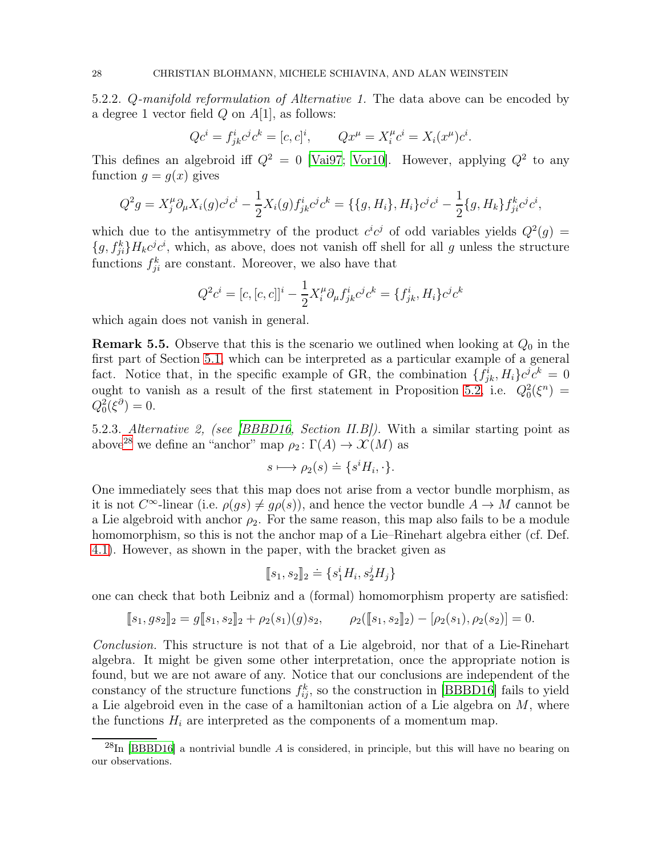5.2.2. Q-manifold reformulation of Alternative 1. The data above can be encoded by a degree 1 vector field  $Q$  on  $A[1]$ , as follows:

$$
Qc^i = f_{jk}^i c^j c^k = [c, c]^i
$$
,  $Qx^{\mu} = X_i^{\mu} c^i = X_i(x^{\mu})c^i$ .

This defines an algebroid iff  $Q^2 = 0$  [\[Vai97;](#page-32-11) [Vor10\]](#page-33-1). However, applying  $Q^2$  to any function  $g = g(x)$  gives

$$
Q^2 g = X_j^{\mu} \partial_{\mu} X_i(g) c^j c^i - \frac{1}{2} X_i(g) f_{jk}^i c^j c^k = \{ \{ g, H_i \}, H_i \} c^j c^i - \frac{1}{2} \{ g, H_k \} f_{ji}^k c^j c^i,
$$

which due to the antisymmetry of the product  $c^i c^j$  of odd variables yields  $Q^2(g)$  =  $\{g, f_{ji}^k\}H_kc^jc^i$ , which, as above, does not vanish off shell for all g unless the structure functions  $f_{ji}^k$  are constant. Moreover, we also have that

$$
Q^{2}c^{i} = [c, [c, c]]^{i} - \frac{1}{2}X_{i}^{\mu}\partial_{\mu}f_{jk}^{i}c^{j}c^{k} = \{f_{jk}^{i}, H_{i}\}c^{j}c^{k}
$$

which again does not vanish in general.

**Remark 5.5.** Observe that this is the scenario we outlined when looking at  $Q_0$  in the first part of Section [5.1,](#page-23-1) which can be interpreted as a particular example of a general fact. Notice that, in the specific example of GR, the combination  $\{f_{jk}^i, H_i\}c^j c^k = 0$ ought to vanish as a result of the first statement in Proposition [5.2,](#page-24-6) i.e.  $Q_0^2(\xi^n) =$  $Q_0^2(\xi^\partial)=0.$ 

5.2.3. Alternative 2, (see [\[BBBD16,](#page-30-12) Section II.B]). With a similar starting point as above<sup>[28](#page-27-0)</sup> we define an "anchor" map  $\rho_2 : \Gamma(A) \to \mathcal{X}(M)$  as

$$
s \longmapsto \rho_2(s) \doteq \{ s^i H_i, \cdot \}.
$$

One immediately sees that this map does not arise from a vector bundle morphism, as it is not  $C^{\infty}$ -linear (i.e.  $\rho(gs) \neq g\rho(s)$ ), and hence the vector bundle  $A \to M$  cannot be a Lie algebroid with anchor  $\rho_2$ . For the same reason, this map also fails to be a module homomorphism, so this is not the anchor map of a Lie–Rinehart algebra either (cf. Def. [4.1\)](#page-20-0). However, as shown in the paper, with the bracket given as

$$
[\![s_1, s_2]\!]_2 \doteq \{ s_1^i H_i, s_2^j H_j \}
$$

one can check that both Leibniz and a (formal) homomorphism property are satisfied:

$$
[\![s_1, g s_2]\!]_2 = g[\![s_1, s_2]\!]_2 + \rho_2(s_1)(g)s_2, \qquad \rho_2([\![s_1, s_2]\!]_2) - [\rho_2(s_1), \rho_2(s_2)] = 0.
$$

Conclusion. This structure is not that of a Lie algebroid, nor that of a Lie-Rinehart algebra. It might be given some other interpretation, once the appropriate notion is found, but we are not aware of any. Notice that our conclusions are independent of the constancy of the structure functions  $f_{ij}^k$ , so the construction in [\[BBBD16\]](#page-30-12) fails to yield a Lie algebroid even in the case of a hamiltonian action of a Lie algebra on M, where the functions  $H_i$  are interpreted as the components of a momentum map.

<span id="page-27-0"></span> $^{28}$ In [\[BBBD16\]](#page-30-12) a nontrivial bundle A is considered, in principle, but this will have no bearing on our observations.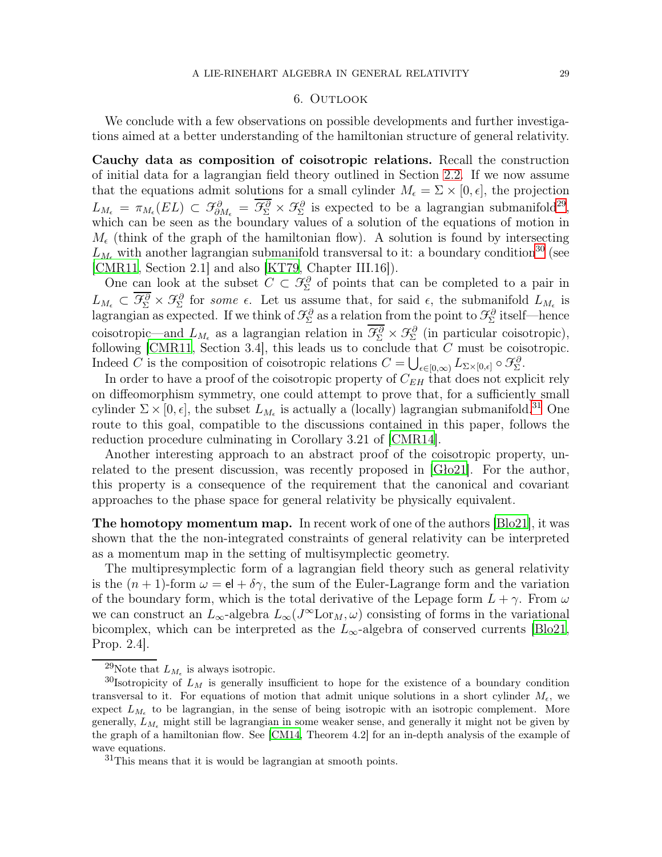#### 6. Outlook

<span id="page-28-0"></span>We conclude with a few observations on possible developments and further investigations aimed at a better understanding of the hamiltonian structure of general relativity.

<span id="page-28-1"></span>Cauchy data as composition of coisotropic relations. Recall the construction of initial data for a lagrangian field theory outlined in Section [2.2.](#page-5-0) If we now assume that the equations admit solutions for a small cylinder  $M_{\epsilon} = \Sigma \times [0, \epsilon]$ , the projection  $L_{M_{\epsilon}} = \pi_{M_{\epsilon}}(EL) \subset \mathcal{F}_{\partial M_{\epsilon}}^{\partial} = \overline{\mathcal{F}_{\Sigma}^{\partial}} \times \mathcal{F}_{\Sigma}^{\partial}$  is expected to be a lagrangian submanifold<sup>[29](#page-28-3)</sup>, which can be seen as the boundary values of a solution of the equations of motion in  $M_{\epsilon}$  (think of the graph of the hamiltonian flow). A solution is found by intersecting  $L_{M_{\epsilon}}$  with another lagrangian submanifold transversal to it: a boundary condition<sup>[30](#page-28-4)</sup> (see [\[CMR11,](#page-30-13) Section 2.1] and also [\[KT79,](#page-31-5) Chapter III.16]).

One can look at the subset  $C \subset \mathcal{F}_{\Sigma}^{\partial}$  of points that can be completed to a pair in  $L_{M_{\epsilon}} \subset \mathcal{F}_{\Sigma}^{\partial} \times \mathcal{F}_{\Sigma}^{\partial}$  for some  $\epsilon$ . Let us assume that, for said  $\epsilon$ , the submanifold  $L_{M_{\epsilon}}$  is lagrangian as expected. If we think of  $\mathcal{F}_{\Sigma}^{\partial}$  as a relation from the point to  $\mathcal{F}_{\Sigma}^{\partial}$  itself—hence coisotropic—and  $L_{M_{\epsilon}}$  as a lagrangian relation in  $\mathcal{F}_{\Sigma}^{\partial} \times \mathcal{F}_{\Sigma}^{\partial}$  (in particular coisotropic), following [\[CMR11,](#page-30-13) Section 3.4], this leads us to conclude that C must be coisotropic. Indeed C is the composition of coisotropic relations  $C = \bigcup_{\epsilon \in [0,\infty)} L_{\Sigma \times [0,\epsilon]} \circ \mathcal{F}_{\Sigma}^{\partial}$ .

In order to have a proof of the coisotropic property of  $C_{EH}$  that does not explicit rely on diffeomorphism symmetry, one could attempt to prove that, for a sufficiently small cylinder  $\Sigma \times [0, \epsilon]$ , the subset  $L_{M_{\epsilon}}$  is actually a (locally) lagrangian submanifold.<sup>[31](#page-28-5)</sup> One route to this goal, compatible to the discussions contained in this paper, follows the reduction procedure culminating in Corollary 3.21 of [\[CMR14\]](#page-30-2).

Another interesting approach to an abstract proof of the coisotropic property, unrelated to the present discussion, was recently proposed in [\[Gło21\]](#page-31-14). For the author, this property is a consequence of the requirement that the canonical and covariant approaches to the phase space for general relativity be physically equivalent.

<span id="page-28-2"></span>The homotopy momentum map. In recent work of one of the authors [\[Blo21](#page-30-14)], it was shown that the the non-integrated constraints of general relativity can be interpreted as a momentum map in the setting of multisymplectic geometry.

The multipresymplectic form of a lagrangian field theory such as general relativity is the  $(n + 1)$ -form  $\omega = e + \delta \gamma$ , the sum of the Euler-Lagrange form and the variation of the boundary form, which is the total derivative of the Lepage form  $L + \gamma$ . From  $\omega$ we can construct an  $L_{\infty}$ -algebra  $L_{\infty}(J^{\infty}L \text{or}_M, \omega)$  consisting of forms in the variational bicomplex, which can be interpreted as the  $L_{\infty}$ -algebra of conserved currents [\[Blo21,](#page-30-14) Prop. 2.4].

<span id="page-28-3"></span><sup>&</sup>lt;sup>29</sup>Note that  $L_{M_{\epsilon}}$  is always isotropic.

<span id="page-28-4"></span><sup>&</sup>lt;sup>30</sup>Isotropicity of  $L_M$  is generally insufficient to hope for the existence of a boundary condition transversal to it. For equations of motion that admit unique solutions in a short cylinder  $M_{\epsilon}$ , we expect  $L_{M_{\epsilon}}$  to be lagrangian, in the sense of being isotropic with an isotropic complement. More generally,  $L_{M_e}$  might still be lagrangian in some weaker sense, and generally it might not be given by the graph of a hamiltonian flow. See [\[CM14,](#page-30-15) Theorem 4.2] for an in-depth analysis of the example of wave equations.

<span id="page-28-5"></span><sup>31</sup>This means that it is would be lagrangian at smooth points.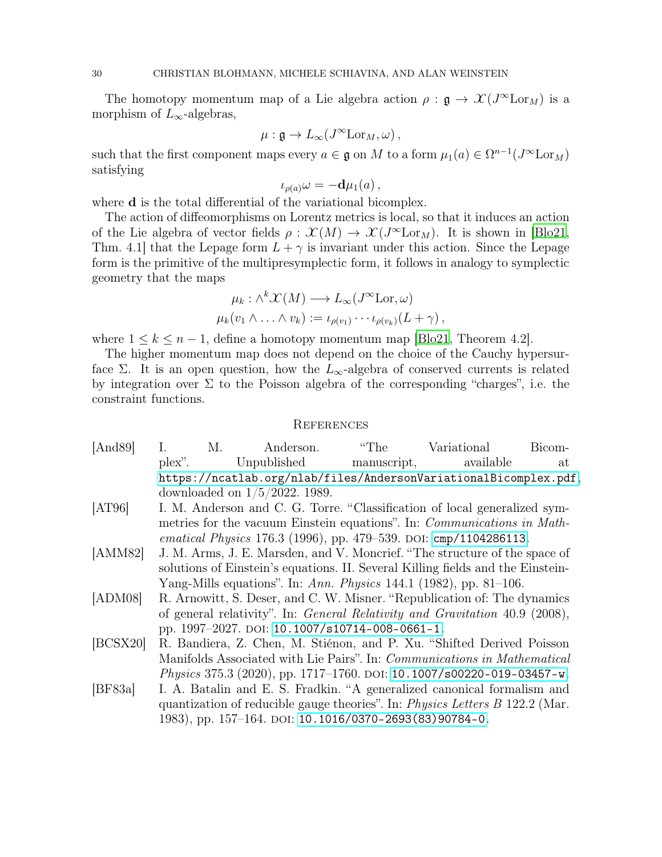The homotopy momentum map of a Lie algebra action  $\rho : \mathfrak{g} \to \mathcal{X}(J^{\infty} \mathrm{Lor}_M)$  is a morphism of  $L_{\infty}$ -algebras,

$$
\mu: \mathfrak{g} \to L_{\infty}(J^{\infty} \mathrm{Lor}_M, \omega),
$$

such that the first component maps every  $a \in \mathfrak{g}$  on M to a form  $\mu_1(a) \in \Omega^{n-1}(J^{\infty} \text{Lor}_M)$ satisfying

$$
\iota_{\rho(a)}\omega = -\mathbf{d}\mu_1(a)\,,
$$

where **d** is the total differential of the variational bicomplex.

The action of diffeomorphisms on Lorentz metrics is local, so that it induces an action of the Lie algebra of vector fields  $\rho : \mathcal{X}(M) \to \mathcal{X}(J^{\infty} \text{Lor}_M)$ . It is shown in [\[Blo21,](#page-30-14) Thm. 4.1 that the Lepage form  $L + \gamma$  is invariant under this action. Since the Lepage form is the primitive of the multipresymplectic form, it follows in analogy to symplectic geometry that the maps

$$
\mu_k : \wedge^k \mathcal{X}(M) \longrightarrow L_{\infty}(J^{\infty} \mathrm{Lor}, \omega)
$$
  

$$
\mu_k(v_1 \wedge \ldots \wedge v_k) := \iota_{\rho(v_1)} \cdots \iota_{\rho(v_k)}(L + \gamma),
$$

where  $1 \leq k \leq n-1$ , define a homotopy momentum map [\[Blo21,](#page-30-14) Theorem 4.2].

The higher momentum map does not depend on the choice of the Cauchy hypersurface  $\Sigma$ . It is an open question, how the  $L_{\infty}$ -algebra of conserved currents is related by integration over  $\Sigma$  to the Poisson algebra of the corresponding "charges", i.e. the constraint functions.

#### <span id="page-29-0"></span>References

- <span id="page-29-2"></span>[And89] I. M. Anderson. "The Variational Bicomplex". Unpublished manuscript, available at <https://ncatlab.org/nlab/files/AndersonVariationalBicomplex.pdf>, downloaded on 1/5/2022. 1989.
- <span id="page-29-3"></span>[AT96] I. M. Anderson and C. G. Torre. "Classification of local generalized symmetries for the vacuum Einstein equations". In: Communications in Mathematical Physics 176.3 (1996), pp. 479–539. DOI:  $\text{cmp}/1104286113$ .
- <span id="page-29-4"></span>[AMM82] J. M. Arms, J. E. Marsden, and V. Moncrief. "The structure of the space of solutions of Einstein's equations. II. Several Killing fields and the Einstein-Yang-Mills equations". In: Ann. Physics 144.1 (1982), pp. 81–106.
- <span id="page-29-5"></span>[ADM08] R. Arnowitt, S. Deser, and C. W. Misner. "Republication of: The dynamics of general relativity". In: General Relativity and Gravitation 40.9 (2008), pp. 1997–2027. doi: [10.1007/s10714-008-0661-1](https://doi.org/10.1007/s10714-008-0661-1).
- <span id="page-29-6"></span>[BCSX20] R. Bandiera, Z. Chen, M. Stiénon, and P. Xu. "Shifted Derived Poisson Manifolds Associated with Lie Pairs". In: Communications in Mathematical Physics 375.3 (2020), pp. 1717–1760. DOI: [10.1007/s00220-019-03457-w](https://doi.org/10.1007/s00220-019-03457-w).
- <span id="page-29-1"></span>[BF83a] I. A. Batalin and E. S. Fradkin. "A generalized canonical formalism and quantization of reducible gauge theories". In: Physics Letters B 122.2 (Mar. 1983), pp. 157–164. doi: [10.1016/0370-2693\(83\)90784-0](https://doi.org/10.1016/0370-2693(83)90784-0).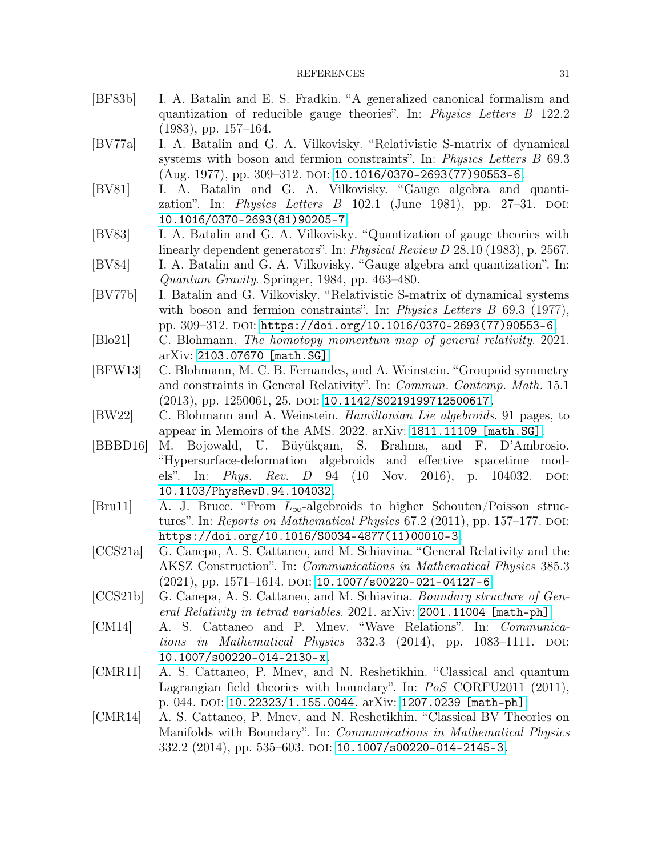- <span id="page-30-5"></span>[BF83b] I. A. Batalin and E. S. Fradkin. "A generalized canonical formalism and quantization of reducible gauge theories". In: Physics Letters B 122.2 (1983), pp. 157–164.
- <span id="page-30-3"></span>[BV77a] I. A. Batalin and G. A. Vilkovisky. "Relativistic S-matrix of dynamical systems with boson and fermion constraints". In: *Physics Letters B* 69.3  $(Aug. 1977), pp. 309-312. DOI: 10.1016/0370-2693(77)90553-6.$  $(Aug. 1977), pp. 309-312. DOI: 10.1016/0370-2693(77)90553-6.$  $(Aug. 1977), pp. 309-312. DOI: 10.1016/0370-2693(77)90553-6.$
- <span id="page-30-4"></span>[BV81] I. A. Batalin and G. A. Vilkovisky. "Gauge algebra and quantization". In: *Physics Letters B* 102.1 (June 1981), pp. 27–31. DOI: [10.1016/0370-2693\(81\)90205-7](https://doi.org/10.1016/0370-2693(81)90205-7).
- <span id="page-30-6"></span>[BV83] I. A. Batalin and G. A. Vilkovisky. "Quantization of gauge theories with linearly dependent generators". In: *Physical Review D* 28.10 (1983), p. 2567.
- <span id="page-30-8"></span><span id="page-30-7"></span>[BV84] I. A. Batalin and G. A. Vilkovisky. "Gauge algebra and quantization". In: Quantum Gravity. Springer, 1984, pp. 463–480.
- [BV77b] I. Batalin and G. Vilkovisky. "Relativistic S-matrix of dynamical systems with boson and fermion constraints". In: *Physics Letters B* 69.3 (1977), pp. 309-312. DOI: [https://doi.org/10.1016/0370-2693\(77\)90553-6](https://doi.org/https://doi.org/10.1016/0370-2693(77)90553-6).
- <span id="page-30-14"></span><span id="page-30-0"></span>[Blo21] C. Blohmann. The homotopy momentum map of general relativity. 2021. arXiv: [2103.07670 \[math.SG\]](https://arxiv.org/abs/2103.07670).
- [BFW13] C. Blohmann, M. C. B. Fernandes, and A. Weinstein. "Groupoid symmetry and constraints in General Relativity". In: Commun. Contemp. Math. 15.1 (2013), pp. 1250061, 25. DOI: [10.1142/S0219199712500617](https://doi.org/10.1142/S0219199712500617).
- <span id="page-30-12"></span><span id="page-30-1"></span>[BW22] C. Blohmann and A. Weinstein. Hamiltonian Lie algebroids. 91 pages, to appear in Memoirs of the AMS. 2022. arXiv: [1811.11109 \[math.SG\]](https://arxiv.org/abs/1811.11109).
- [BBBD16] M. Bojowald, U. Büyükçam, S. Brahma, and F. D'Ambrosio. "Hypersurface-deformation algebroids and effective spacetime models". In: *Phys. Rev. D* 94 (10 Nov. 2016), p. 104032. DOI: [10.1103/PhysRevD.94.104032](https://doi.org/10.1103/PhysRevD.94.104032).
- <span id="page-30-11"></span>[Bru11] A. J. Bruce. "From  $L_{\infty}$ -algebroids to higher Schouten/Poisson structures". In: Reports on Mathematical Physics  $67.2$  (2011), pp. 157–177. DOI: [https://doi.org/10.1016/S0034-4877\(11\)00010-3](https://doi.org/https://doi.org/10.1016/S0034-4877(11)00010-3).
- <span id="page-30-9"></span>[CCS21a] G. Canepa, A. S. Cattaneo, and M. Schiavina. "General Relativity and the AKSZ Construction". In: Communications in Mathematical Physics 385.3  $(2021)$ , pp. 1571–1614. DOI: [10.1007/s00220-021-04127-6](https://doi.org/10.1007/s00220-021-04127-6).
- <span id="page-30-10"></span>[CCS21b] G. Canepa, A. S. Cattaneo, and M. Schiavina. Boundary structure of General Relativity in tetrad variables. 2021. arXiv: [2001.11004 \[math-ph\]](https://arxiv.org/abs/2001.11004).
- <span id="page-30-15"></span>[CM14] A. S. Cattaneo and P. Mnev. "Wave Relations". In: Communications in Mathematical Physics  $332.3$  (2014), pp. 1083–1111. DOI: [10.1007/s00220-014-2130-x](https://doi.org/10.1007/s00220-014-2130-x).
- <span id="page-30-13"></span>[CMR11] A. S. Cattaneo, P. Mnev, and N. Reshetikhin. "Classical and quantum Lagrangian field theories with boundary". In: PoS CORFU2011 (2011), p. 044. doi: [10.22323/1.155.0044](https://doi.org/10.22323/1.155.0044). arXiv: [1207.0239 \[math-ph\]](https://arxiv.org/abs/1207.0239).
- <span id="page-30-2"></span>[CMR14] A. S. Cattaneo, P. Mnev, and N. Reshetikhin. "Classical BV Theories on Manifolds with Boundary". In: Communications in Mathematical Physics 332.2 (2014), pp. 535-603. DOI: [10.1007/s00220-014-2145-3](https://doi.org/10.1007/s00220-014-2145-3).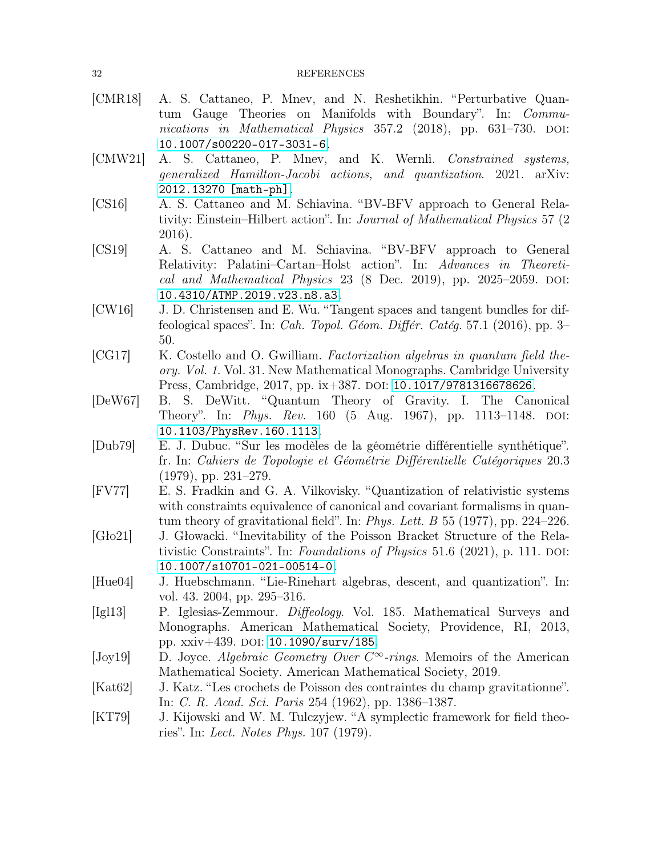- <span id="page-31-0"></span>[CMR18] A. S. Cattaneo, P. Mnev, and N. Reshetikhin. "Perturbative Quantum Gauge Theories on Manifolds with Boundary". In: Communications in Mathematical Physics  $357.2$  (2018), pp. 631–730. DOI: [10.1007/s00220-017-3031-6](https://doi.org/10.1007/s00220-017-3031-6).
- <span id="page-31-13"></span>[CMW21] A. S. Cattaneo, P. Mnev, and K. Wernli. Constrained systems, generalized Hamilton-Jacobi actions, and quantization. 2021. arXiv: [2012.13270 \[math-ph\]](https://arxiv.org/abs/2012.13270).
- <span id="page-31-1"></span>[CS16] A. S. Cattaneo and M. Schiavina. "BV-BFV approach to General Relativity: Einstein–Hilbert action". In: Journal of Mathematical Physics 57 (2 2016).
- <span id="page-31-9"></span>[CS19] A. S. Cattaneo and M. Schiavina. "BV-BFV approach to General Relativity: Palatini–Cartan–Holst action". In: Advances in Theoretical and Mathematical Physics  $23$  (8 Dec. 2019), pp. 2025–2059. DOI: [10.4310/ATMP.2019.v23.n8.a3](https://doi.org/10.4310/ATMP.2019.v23.n8.a3).
- <span id="page-31-2"></span>[CW16] J. D. Christensen and E. Wu. "Tangent spaces and tangent bundles for diffeological spaces". In: Cah. Topol. Géom. Différ. Catég. 57.1 (2016), pp. 3– 50.
- <span id="page-31-4"></span>[CG17] K. Costello and O. Gwilliam. Factorization algebras in quantum field theory. Vol. 1. Vol. 31. New Mathematical Monographs. Cambridge University Press, Cambridge, 2017, pp. ix+387. DOI: [10.1017/9781316678626](https://doi.org/10.1017/9781316678626).
- <span id="page-31-7"></span>[DeW67] B. S. DeWitt. "Quantum Theory of Gravity. I. The Canonical Theory". In: Phys. Rev. 160 (5 Aug. 1967), pp. 1113-1148. DOI: [10.1103/PhysRev.160.1113](https://doi.org/10.1103/PhysRev.160.1113).
- <span id="page-31-11"></span>[Dub79] E. J. Dubuc. "Sur les modèles de la géométrie différentielle synthétique". fr. In: Cahiers de Topologie et Géométrie Différentielle Catégoriques 20.3 (1979), pp. 231–279.
- <span id="page-31-8"></span>[FV77] E. S. Fradkin and G. A. Vilkovisky. "Quantization of relativistic systems with constraints equivalence of canonical and covariant formalisms in quantum theory of gravitational field". In: *Phys. Lett. B* 55 (1977), pp. 224–226.
- <span id="page-31-14"></span>[Gło21] J. Głowacki. "Inevitability of the Poisson Bracket Structure of the Relativistic Constraints". In: Foundations of Physics 51.6 (2021), p. 111. DOI: [10.1007/s10701-021-00514-0](https://doi.org/10.1007/s10701-021-00514-0).
- <span id="page-31-10"></span><span id="page-31-3"></span>[Hue04] J. Huebschmann. "Lie-Rinehart algebras, descent, and quantization". In: vol. 43. 2004, pp. 295–316.
- [Igl13] P. Iglesias-Zemmour. Diffeology. Vol. 185. Mathematical Surveys and Monographs. American Mathematical Society, Providence, RI, 2013, pp.  $xxiv+439$ . DOI: [10.1090/surv/185](https://doi.org/10.1090/surv/185).
- <span id="page-31-12"></span>[Joy19] D. Joyce. Algebraic Geometry Over  $C^{\infty}$ -rings. Memoirs of the American Mathematical Society. American Mathematical Society, 2019.
- <span id="page-31-6"></span>[Kat62] J. Katz. "Les crochets de Poisson des contraintes du champ gravitationne". In: C. R. Acad. Sci. Paris 254 (1962), pp. 1386–1387.
- <span id="page-31-5"></span>[KT79] J. Kijowski and W. M. Tulczyjew. "A symplectic framework for field theories". In: Lect. Notes Phys. 107 (1979).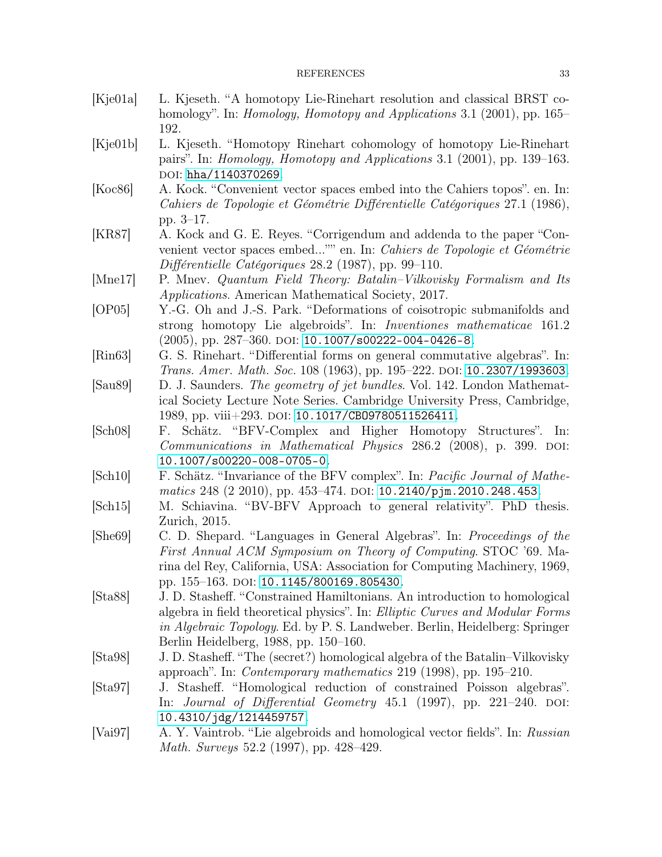#### REFERENCES 33

- <span id="page-32-6"></span>[Kje01a] L. Kjeseth. "A homotopy Lie-Rinehart resolution and classical BRST cohomology". In: *Homology, Homotopy and Applications* 3.1 (2001), pp. 165– 192.
- <span id="page-32-8"></span>[Kje01b] L. Kjeseth. "Homotopy Rinehart cohomology of homotopy Lie-Rinehart pairs". In: Homology, Homotopy and Applications 3.1 (2001), pp. 139–163. DOI: [hha/1140370269](https://doi.org/hha/1140370269).
- <span id="page-32-14"></span>[Koc86] A. Kock. "Convenient vector spaces embed into the Cahiers topos". en. In: Cahiers de Topologie et Géométrie Différentielle Catégoriques 27.1 (1986), pp. 3–17.
- <span id="page-32-15"></span>[KR87] A. Kock and G. E. Reyes. "Corrigendum and addenda to the paper "Convenient vector spaces embed..."" en. In: Cahiers de Topologie et Géométrie Différentielle Catégoriques 28.2 (1987), pp. 99–110.
- <span id="page-32-10"></span><span id="page-32-7"></span>[Mne17] P. Mnev. Quantum Field Theory: Batalin–Vilkovisky Formalism and Its Applications. American Mathematical Society, 2017.
- [OP05] Y.-G. Oh and J.-S. Park. "Deformations of coisotropic submanifolds and strong homotopy Lie algebroids". In: Inventiones mathematicae 161.2  $(2005)$ , pp. 287–360. doi: [10.1007/s00222-004-0426-8](https://doi.org/10.1007/s00222-004-0426-8).
- <span id="page-32-13"></span><span id="page-32-1"></span>[Rin63] G. S. Rinehart. "Differential forms on general commutative algebras". In: Trans. Amer. Math. Soc. 108 (1963), pp. 195–222. doi: [10.2307/1993603](https://doi.org/10.2307/1993603).
- [Sau89] D. J. Saunders. The geometry of jet bundles. Vol. 142. London Mathematical Society Lecture Note Series. Cambridge University Press, Cambridge, 1989, pp. viii+293. DOI: 10.1017/CB09780511526411.
- <span id="page-32-4"></span>[Sch08] F. Schätz. "BFV-Complex and Higher Homotopy Structures". In: Communications in Mathematical Physics 286.2 (2008), p. 399. DOI: [10.1007/s00220-008-0705-0](https://doi.org/10.1007/s00220-008-0705-0).
- <span id="page-32-5"></span>[Sch10] F. Schätz. "Invariance of the BFV complex". In: Pacific Journal of Mathe-matics 248 (2 2010), pp. 453–474. DOI: [10.2140/pjm.2010.248.453](https://doi.org/10.2140/pjm.2010.248.453).
- <span id="page-32-12"></span><span id="page-32-0"></span>[Sch15] M. Schiavina. "BV-BFV Approach to general relativity". PhD thesis. Zurich, 2015.
- [She69] C. D. Shepard. "Languages in General Algebras". In: Proceedings of the First Annual ACM Symposium on Theory of Computing. STOC '69. Marina del Rey, California, USA: Association for Computing Machinery, 1969, pp. 155-163. doi: [10.1145/800169.805430](https://doi.org/10.1145/800169.805430).
- <span id="page-32-2"></span>[Sta88] J. D. Stasheff. "Constrained Hamiltonians. An introduction to homological algebra in field theoretical physics". In: Elliptic Curves and Modular Forms in Algebraic Topology. Ed. by P. S. Landweber. Berlin, Heidelberg: Springer Berlin Heidelberg, 1988, pp. 150–160.
- <span id="page-32-9"></span>[Sta98] J. D. Stasheff. "The (secret?) homological algebra of the Batalin–Vilkovisky approach". In: Contemporary mathematics 219 (1998), pp. 195–210.
- <span id="page-32-3"></span>[Sta97] J. Stasheff. "Homological reduction of constrained Poisson algebras". In: *Journal of Differential Geometry*  $45.1$  (1997), pp. 221–240. DOI: [10.4310/jdg/1214459757](https://doi.org/10.4310/jdg/1214459757).
- <span id="page-32-11"></span>[Vai97] A. Y. Vaintrob. "Lie algebroids and homological vector fields". In: Russian Math. Surveys 52.2 (1997), pp. 428–429.